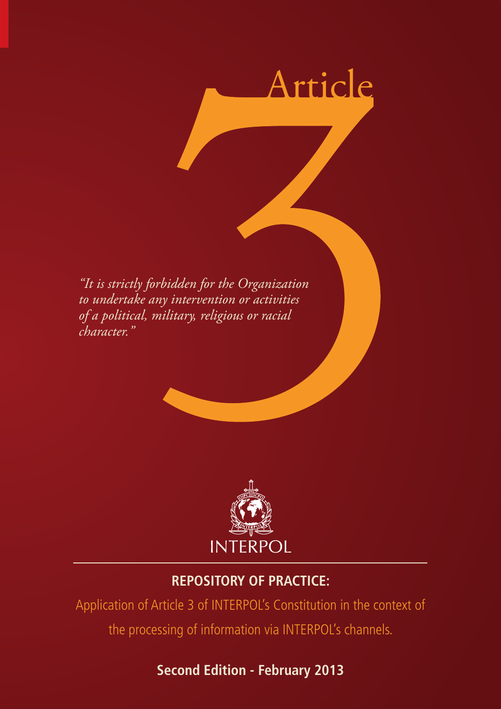

*"It is strictly forbidden for the Organization to undertake any intervention or activities of a political, military, religious or racial character."*



## **REPOSITORY OF PRACTICE:**

Application of Article 3 of INTERPOL's Constitution in the context of the processing of information via INTERPOL's channels.

# **Second Edition - February 2013**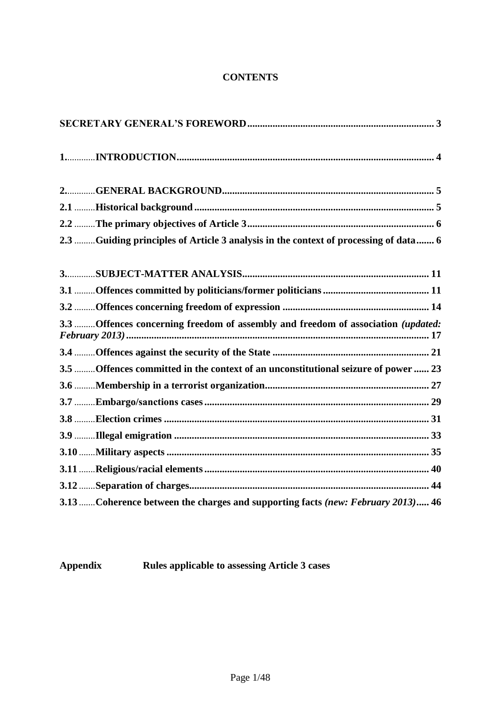## **CONTENTS**

| 2.3 Guiding principles of Article 3 analysis in the context of processing of data  6 |
|--------------------------------------------------------------------------------------|
|                                                                                      |
|                                                                                      |
|                                                                                      |
| 3.3 Offences concerning freedom of assembly and freedom of association (updated:     |
|                                                                                      |
| 3.5 Offences committed in the context of an unconstitutional seizure of power  23    |
|                                                                                      |
|                                                                                      |
|                                                                                      |
|                                                                                      |
|                                                                                      |
|                                                                                      |
|                                                                                      |
| 3.13  Coherence between the charges and supporting facts (new: February 2013) 46     |

**Appendix Rules applicable to assessing Article 3 cases**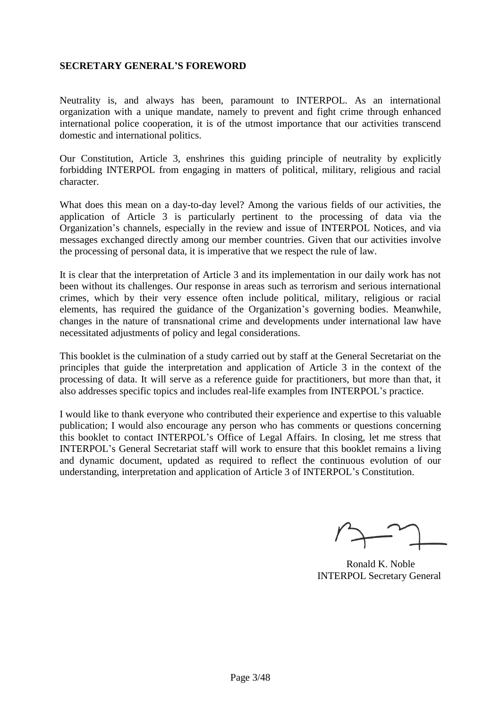#### <span id="page-3-0"></span>**SECRETARY GENERAL'S FOREWORD**

Neutrality is, and always has been, paramount to INTERPOL. As an international organization with a unique mandate, namely to prevent and fight crime through enhanced international police cooperation, it is of the utmost importance that our activities transcend domestic and international politics.

Our Constitution, Article 3, enshrines this guiding principle of neutrality by explicitly forbidding INTERPOL from engaging in matters of political, military, religious and racial character.

What does this mean on a day-to-day level? Among the various fields of our activities, the application of Article 3 is particularly pertinent to the processing of data via the Organization's channels, especially in the review and issue of INTERPOL Notices, and via messages exchanged directly among our member countries. Given that our activities involve the processing of personal data, it is imperative that we respect the rule of law.

It is clear that the interpretation of Article 3 and its implementation in our daily work has not been without its challenges. Our response in areas such as terrorism and serious international crimes, which by their very essence often include political, military, religious or racial elements, has required the guidance of the Organization's governing bodies. Meanwhile, changes in the nature of transnational crime and developments under international law have necessitated adjustments of policy and legal considerations.

This booklet is the culmination of a study carried out by staff at the General Secretariat on the principles that guide the interpretation and application of Article 3 in the context of the processing of data. It will serve as a reference guide for practitioners, but more than that, it also addresses specific topics and includes real-life examples from INTERPOL's practice.

I would like to thank everyone who contributed their experience and expertise to this valuable publication; I would also encourage any person who has comments or questions concerning this booklet to contact INTERPOL's Office of Legal Affairs. In closing, let me stress that INTERPOL's General Secretariat staff will work to ensure that this booklet remains a living and dynamic document, updated as required to reflect the continuous evolution of our understanding, interpretation and application of Article 3 of INTERPOL's Constitution.

Ronald K. Noble INTERPOL Secretary General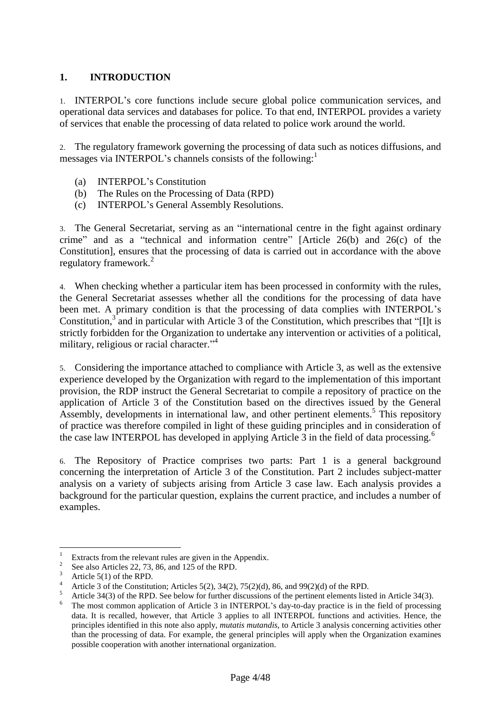## <span id="page-4-0"></span>**1. INTRODUCTION**

1. INTERPOL's core functions include secure global police communication services, and operational data services and databases for police. To that end, INTERPOL provides a variety of services that enable the processing of data related to police work around the world.

2. The regulatory framework governing the processing of data such as notices diffusions, and messages via INTERPOL's channels consists of the following:

- (a) INTERPOL's Constitution
- (b) The [Rules on the Processing of D](http://portal.interpol.int:1967/Public/ICPO/LegalMaterials/constitution/info/default.asp)ata (RPD)
- (c) INTERPOL's General Assembly Resolutions.

3. The General Secretariat, serving as an "international centre in the fight against ordinary crime" and as a "technical and information centre" [Article 26(b) and 26(c) of the Constitution], ensures that the processing of data is carried out in accordance with the above regulatory framework.<sup>2</sup>

4. When checking whether a particular item has been processed in conformity with the rules, the General Secretariat assesses whether all the conditions for the processing of data have been met. A primary condition is that the processing of data complies with INTERPOL's Constitution, $3\overline{ }$  and in particular with Article 3 of the Constitution, which prescribes that "[I]t is strictly forbidden for the Organization to undertake any intervention or activities of a political, military, religious or racial character." 4

5. Considering the importance attached to compliance with Article 3, as well as the extensive experience developed by the Organization with regard to the implementation of this important provision, the RDP instruct the General Secretariat to compile a repository of practice on the application of Article 3 of the Constitution based on the directives issued by the General Assembly, developments in international law, and other pertinent elements. 5 This repository of practice was therefore compiled in light of these guiding principles and in consideration of the case law INTERPOL has developed in applying Article 3 in the field of data processing.<sup>6</sup>

6. The Repository of Practice comprises two parts: Part 1 is a general background concerning the interpretation of Article 3 of the Constitution. Part 2 includes subject-matter analysis on a variety of subjects arising from Article 3 case law. Each analysis provides a background for the particular question, explains the current practice, and includes a number of examples.

 $\overline{1}$ Extracts from the relevant rules are given in the Appendix.

<sup>2</sup> See also Articles 22, 73, 86, and 125 of the RPD.

 $\frac{3}{4}$  Article 5(1) of the RPD.

<sup>&</sup>lt;sup>4</sup> Article 3 of the Constitution; Articles 5(2), 34(2), 75(2)(d), 86, and 99(2)(d) of the RPD.

<sup>&</sup>lt;sup>5</sup> Article 34(3) of the RPD. See below for further discussions of the pertinent elements listed in Article 34(3).

The most common application of Article 3 in INTERPOL's day-to-day practice is in the field of processing data. It is recalled, however, that Article 3 applies to all INTERPOL functions and activities. Hence, the principles identified in this note also apply, *mutatis mutandis*, to Article 3 analysis concerning activities other than the processing of data. For example, the general principles will apply when the Organization examines possible cooperation with another international organization.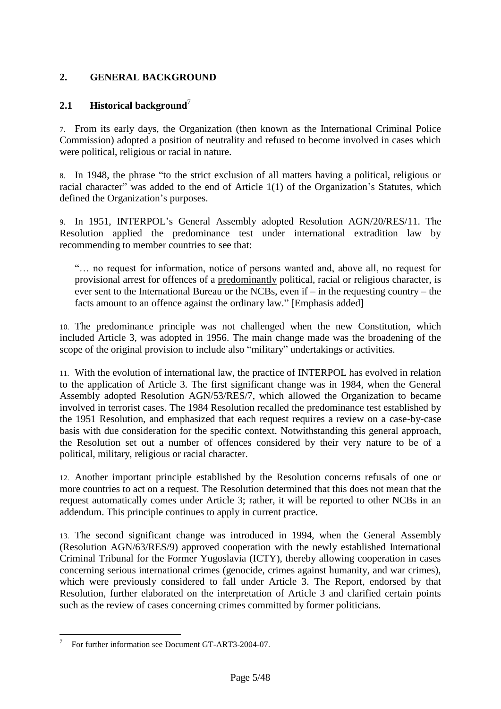## <span id="page-5-0"></span>**2. GENERAL BACKGROUND**

## <span id="page-5-1"></span>**2.1 Historical background**<sup>7</sup>

7. From its early days, the Organization (then known as the International Criminal Police Commission) adopted a position of neutrality and refused to become involved in cases which were political, religious or racial in nature.

8. In 1948, the phrase "to the strict exclusion of all matters having a political, religious or racial character" was added to the end of Article 1(1) of the Organization's Statutes, which defined the Organization's purposes.

9. In 1951, INTERPOL's General Assembly adopted Resolution AGN/20/RES/11. The Resolution applied the predominance test under international extradition law by recommending to member countries to see that:

"… no request for information, notice of persons wanted and, above all, no request for provisional arrest for offences of a predominantly political, racial or religious character, is ever sent to the International Bureau or the NCBs, even if – in the requesting country – the facts amount to an offence against the ordinary law." [Emphasis added]

10. The predominance principle was not challenged when the new Constitution, which included Article 3, was adopted in 1956. The main change made was the broadening of the scope of the original provision to include also "military" undertakings or activities.

11. With the evolution of international law, the practice of INTERPOL has evolved in relation to the application of Article 3. The first significant change was in 1984, when the General Assembly adopted Resolution AGN/53/RES/7, which allowed the Organization to became involved in terrorist cases. The 1984 Resolution recalled the predominance test established by the 1951 Resolution, and emphasized that each request requires a review on a case-by-case basis with due consideration for the specific context. Notwithstanding this general approach, the Resolution set out a number of offences considered by their very nature to be of a political, military, religious or racial character.

12. Another important principle established by the Resolution concerns refusals of one or more countries to act on a request. The Resolution determined that this does not mean that the request automatically comes under Article 3; rather, it will be reported to other NCBs in an addendum. This principle continues to apply in current practice.

13. The second significant change was introduced in 1994, when the General Assembly (Resolution AGN/63/RES/9) approved cooperation with the newly established International Criminal Tribunal for the Former Yugoslavia (ICTY), thereby allowing cooperation in cases concerning serious international crimes (genocide, crimes against humanity, and war crimes), which were previously considered to fall under Article 3. The Report, endorsed by that Resolution, further elaborated on the interpretation of Article 3 and clarified certain points such as the review of cases concerning crimes committed by former politicians.

 $\overline{a}$ 7 For further information see Document GT-ART3-2004-07.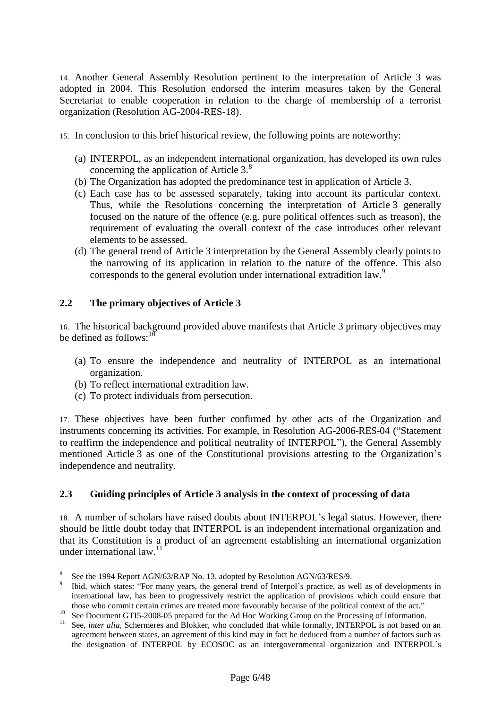14. Another General Assembly Resolution pertinent to the interpretation of Article 3 was adopted in 2004. This Resolution endorsed the interim measures taken by the General Secretariat to enable cooperation in relation to the charge of membership of a terrorist organization (Resolution AG-2004-RES-18).

- 15. In conclusion to this brief historical review, the following points are noteworthy:
	- (a) INTERPOL, as an independent international organization, has developed its own rules concerning the application of Article 3.<sup>8</sup>
	- (b) The Organization has adopted the predominance test in application of Article 3.
	- (c) Each case has to be assessed separately, taking into account its particular context. Thus, while the Resolutions concerning the interpretation of Article 3 generally focused on the nature of the offence (e.g. pure political offences such as treason), the requirement of evaluating the overall context of the case introduces other relevant elements to be assessed.
	- (d) The general trend of Article 3 interpretation by the General Assembly clearly points to the narrowing of its application in relation to the nature of the offence. This also corresponds to the general evolution under international extradition law.<sup>9</sup>

## <span id="page-6-0"></span>**2.2 The primary objectives of Article 3**

16. The historical background provided above manifests that Article 3 primary objectives may be defined as follows:  $10$ 

- (a) To ensure the independence and neutrality of INTERPOL as an international organization.
- (b) To reflect international extradition law.

 $\overline{a}$ 

(c) To protect individuals from persecution.

17. These objectives have been further confirmed by other acts of the Organization and instruments concerning its activities. For example, in Resolution AG-2006-RES-04 ("Statement to reaffirm the independence and political neutrality of INTERPOL"), the General Assembly mentioned Article 3 as one of the Constitutional provisions attesting to the Organization's independence and neutrality.

## <span id="page-6-1"></span>**2.3 Guiding principles of Article 3 analysis in the context of processing of data**

18. A number of scholars have raised doubts about INTERPOL's legal status. However, there should be little doubt today that INTERPOL is an independent international organization and that its Constitution is a product of an agreement establishing an international organization under international law.<sup>11</sup>

<sup>8</sup> See the 1994 Report AGN/63/RAP No. 13, adopted by Resolution AGN/63/RES/9.

<sup>9</sup> Ibid, which states: "For many years, the general trend of Interpol's practice, as well as of developments in international law, has been to progressively restrict the application of provisions which could ensure that those who commit certain crimes are treated more favourably because of the political context of the act."

<sup>10&</sup>lt;br>
<sup>10</sup> See Document GTI5-2008-05 prepared for the Ad Hoc Working Group on the Processing of Information.<br>
<sup>11</sup> See inter alia Sebermares and Blakker, who concluded that while formally INTERPOL is not beged on

<sup>11</sup> See, *inter alia*, Schermeres and Blokker, who concluded that while formally, INTERPOL is not based on an agreement between states, an agreement of this kind may in fact be deduced from a number of factors such as the designation of INTERPOL by ECOSOC as an intergovernmental organization and INTERPOL's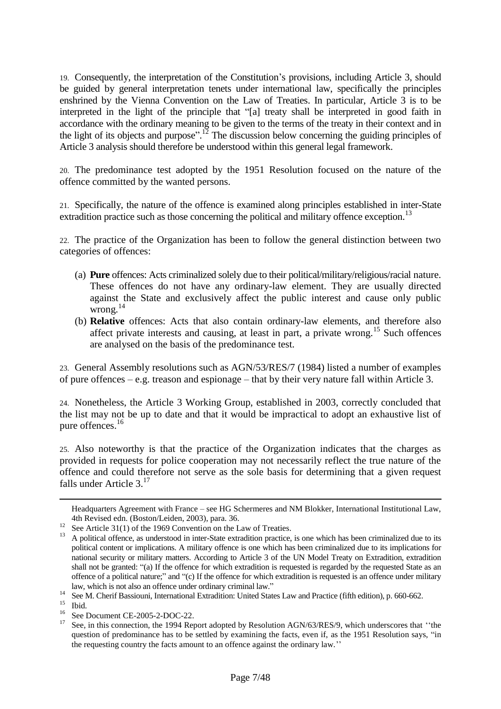19. Consequently, the interpretation of the Constitution's provisions, including Article 3, should be guided by general interpretation tenets under international law, specifically the principles enshrined by the Vienna Convention on the Law of Treaties. In particular, Article 3 is to be interpreted in the light of the principle that "[a] treaty shall be interpreted in good faith in accordance with the ordinary meaning to be given to the terms of the treaty in their context and in the light of its objects and purpose".<sup>12</sup> The discussion below concerning the guiding principles of Article 3 analysis should therefore be understood within this general legal framework.

20. The predominance test adopted by the 1951 Resolution focused on the nature of the offence committed by the wanted persons.

21. Specifically, the nature of the offence is examined along principles established in inter-State extradition practice such as those concerning the political and military offence exception.<sup>13</sup>

22. The practice of the Organization has been to follow the general distinction between two categories of offences:

- (a) **Pure** offences: Acts criminalized solely due to their political/military/religious/racial nature. These offences do not have any ordinary-law element. They are usually directed against the State and exclusively affect the public interest and cause only public wrong. 14
- (b) **Relative** offences: Acts that also contain ordinary-law elements, and therefore also affect private interests and causing, at least in part, a private wrong.<sup>15</sup> Such offences are analysed on the basis of the predominance test.

23. General Assembly resolutions such as AGN/53/RES/7 (1984) listed a number of examples of pure offences – e.g. treason and espionage – that by their very nature fall within Article 3.

24. Nonetheless, the Article 3 Working Group, established in 2003, correctly concluded that the list may not be up to date and that it would be impractical to adopt an exhaustive list of pure offences.<sup>16</sup>

25. Also noteworthy is that the practice of the Organization indicates that the charges as provided in requests for police cooperation may not necessarily reflect the true nature of the offence and could therefore not serve as the sole basis for determining that a given request falls under Article  $3<sup>17</sup>$ 

 $\overline{a}$ 

Headquarters Agreement with France – see HG Schermeres and NM Blokker, International Institutional Law, 4th Revised edn. (Boston/Leiden, 2003), para. 36.

 $12$  See Article 31(1) of the 1969 Convention on the Law of Treaties.

<sup>&</sup>lt;sup>13</sup> A political offence, as understood in inter-State extradition practice, is one which has been criminalized due to its political content or implications. A military offence is one which has been criminalized due to its implications for national security or military matters. According to Article 3 of the UN Model Treaty on Extradition, extradition shall not be granted: "(a) If the offence for which extradition is requested is regarded by the requested State as an offence of a political nature;" and "(c) If the offence for which extradition is requested is an offence under military law, which is not also an offence under ordinary criminal law."

<sup>&</sup>lt;sup>14</sup> See M. Cherif Bassiouni, International Extradition: United States Law and Practice (fifth edition), p. 660-662.

 $\int_{16}^{15}$  Ibid.

 $^{16}$  See Document CE-2005-2-DOC-22.

See, in this connection, the 1994 Report adopted by Resolution AGN/63/RES/9, which underscores that "the question of predominance has to be settled by examining the facts, even if, as the 1951 Resolution says, "in the requesting country the facts amount to an offence against the ordinary law.''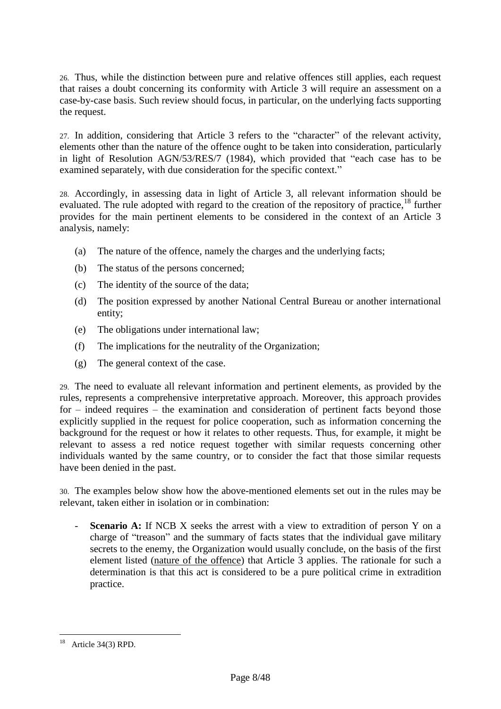26. Thus, while the distinction between pure and relative offences still applies, each request that raises a doubt concerning its conformity with Article 3 will require an assessment on a case-by-case basis. Such review should focus, in particular, on the underlying facts supporting the request.

27. In addition, considering that Article 3 refers to the "character" of the relevant activity, elements other than the nature of the offence ought to be taken into consideration, particularly in light of Resolution AGN/53/RES/7 (1984), which provided that "each case has to be examined separately, with due consideration for the specific context."

28. Accordingly, in assessing data in light of Article 3, all relevant information should be evaluated. The rule adopted with regard to the creation of the repository of practice,<sup>18</sup> further provides for the main pertinent elements to be considered in the context of an Article 3 analysis, namely:

- (a) The nature of the offence, namely the charges and the underlying facts;
- (b) The status of the persons concerned;
- (c) The identity of the source of the data;
- (d) The position expressed by another National Central Bureau or another international entity;
- (e) The obligations under international law;
- (f) The implications for the neutrality of the Organization;
- (g) The general context of the case.

29. The need to evaluate all relevant information and pertinent elements, as provided by the rules, represents a comprehensive interpretative approach. Moreover, this approach provides for – indeed requires – the examination and consideration of pertinent facts beyond those explicitly supplied in the request for police cooperation, such as information concerning the background for the request or how it relates to other requests. Thus, for example, it might be relevant to assess a red notice request together with similar requests concerning other individuals wanted by the same country, or to consider the fact that those similar requests have been denied in the past.

30. The examples below show how the above-mentioned elements set out in the rules may be relevant, taken either in isolation or in combination:

- **Scenario A:** If NCB X seeks the arrest with a view to extradition of person Y on a charge of "treason" and the summary of facts states that the individual gave military secrets to the enemy, the Organization would usually conclude, on the basis of the first element listed (nature of the offence) that Article 3 applies. The rationale for such a determination is that this act is considered to be a pure political crime in extradition practice.

 $\overline{a}$ Article 34(3) RPD.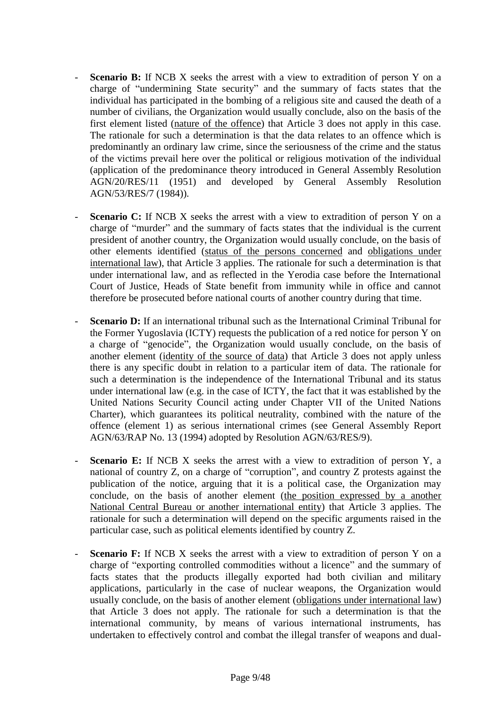- **Scenario B:** If NCB X seeks the arrest with a view to extradition of person Y on a charge of "undermining State security" and the summary of facts states that the individual has participated in the bombing of a religious site and caused the death of a number of civilians, the Organization would usually conclude, also on the basis of the first element listed (nature of the offence) that Article 3 does not apply in this case. The rationale for such a determination is that the data relates to an offence which is predominantly an ordinary law crime, since the seriousness of the crime and the status of the victims prevail here over the political or religious motivation of the individual (application of the predominance theory introduced in General Assembly Resolution AGN/20/RES/11 (1951) and developed by General Assembly Resolution AGN/53/RES/7 (1984)).
- **Scenario C:** If NCB X seeks the arrest with a view to extradition of person Y on a charge of "murder" and the summary of facts states that the individual is the current president of another country, the Organization would usually conclude, on the basis of other elements identified (status of the persons concerned and obligations under international law), that Article 3 applies. The rationale for such a determination is that under international law, and as reflected in the Yerodia case before the International Court of Justice, Heads of State benefit from immunity while in office and cannot therefore be prosecuted before national courts of another country during that time.
- **Scenario D:** If an international tribunal such as the International Criminal Tribunal for the Former Yugoslavia (ICTY) requests the publication of a red notice for person Y on a charge of "genocide", the Organization would usually conclude, on the basis of another element (identity of the source of data) that Article 3 does not apply unless there is any specific doubt in relation to a particular item of data. The rationale for such a determination is the independence of the International Tribunal and its status under international law (e.g. in the case of ICTY, the fact that it was established by the United Nations Security Council acting under Chapter VII of the United Nations Charter), which guarantees its political neutrality, combined with the nature of the offence (element 1) as serious international crimes (see General Assembly Report AGN/63/RAP No. 13 (1994) adopted by Resolution AGN/63/RES/9).
- **Scenario E:** If NCB X seeks the arrest with a view to extradition of person Y, a national of country Z, on a charge of "corruption", and country Z protests against the publication of the notice, arguing that it is a political case, the Organization may conclude, on the basis of another element (the position expressed by a another National Central Bureau or another international entity) that Article 3 applies. The rationale for such a determination will depend on the specific arguments raised in the particular case, such as political elements identified by country Z.
- **Scenario F:** If NCB X seeks the arrest with a view to extradition of person Y on a charge of "exporting controlled commodities without a licence" and the summary of facts states that the products illegally exported had both civilian and military applications, particularly in the case of nuclear weapons, the Organization would usually conclude, on the basis of another element (obligations under international law) that Article 3 does not apply. The rationale for such a determination is that the international community, by means of various international instruments, has undertaken to effectively control and combat the illegal transfer of weapons and dual-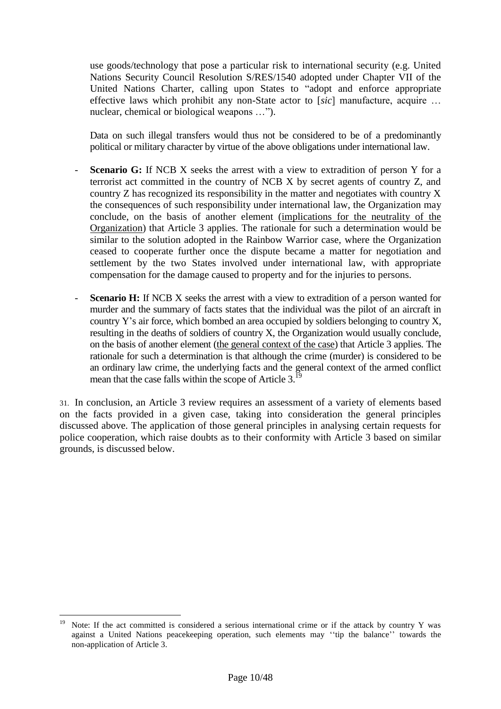use goods/technology that pose a particular risk to international security (e.g. United Nations Security Council Resolution S/RES/1540 adopted under Chapter VII of the United Nations Charter, calling upon States to "adopt and enforce appropriate effective laws which prohibit any non-State actor to [*sic*] manufacture, acquire … nuclear, chemical or biological weapons …").

Data on such illegal transfers would thus not be considered to be of a predominantly political or military character by virtue of the above obligations under international law.

- **Scenario G:** If NCB X seeks the arrest with a view to extradition of person Y for a terrorist act committed in the country of NCB X by secret agents of country Z, and country Z has recognized its responsibility in the matter and negotiates with country X the consequences of such responsibility under international law, the Organization may conclude, on the basis of another element (implications for the neutrality of the Organization) that Article 3 applies. The rationale for such a determination would be similar to the solution adopted in the Rainbow Warrior case, where the Organization ceased to cooperate further once the dispute became a matter for negotiation and settlement by the two States involved under international law, with appropriate compensation for the damage caused to property and for the injuries to persons.
- **Scenario H:** If NCB X seeks the arrest with a view to extradition of a person wanted for murder and the summary of facts states that the individual was the pilot of an aircraft in country Y's air force, which bombed an area occupied by soldiers belonging to country X, resulting in the deaths of soldiers of country X, the Organization would usually conclude, on the basis of another element (the general context of the case) that Article 3 applies. The rationale for such a determination is that although the crime (murder) is considered to be an ordinary law crime, the underlying facts and the general context of the armed conflict mean that the case falls within the scope of Article 3.<sup>19</sup>

31. In conclusion, an Article 3 review requires an assessment of a variety of elements based on the facts provided in a given case, taking into consideration the general principles discussed above. The application of those general principles in analysing certain requests for police cooperation, which raise doubts as to their conformity with Article 3 based on similar grounds, is discussed below.

 $\overline{a}$ Note: If the act committed is considered a serious international crime or if the attack by country Y was against a United Nations peacekeeping operation, such elements may ''tip the balance'' towards the non-application of Article 3.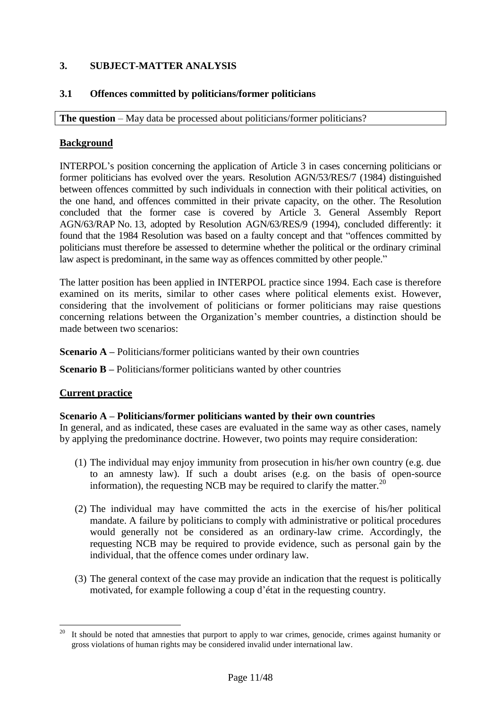## <span id="page-11-0"></span>**3. SUBJECT-MATTER ANALYSIS**

## <span id="page-11-1"></span>**3.1 Offences committed by politicians/former politicians**

**The question** – May data be processed about politicians/former politicians?

## **Background**

INTERPOL's position concerning the application of Article 3 in cases concerning politicians or former politicians has evolved over the years. Resolution AGN/53/RES/7 (1984) distinguished between offences committed by such individuals in connection with their political activities, on the one hand, and offences committed in their private capacity, on the other. The Resolution concluded that the former case is covered by Article 3. General Assembly Report AGN/63/RAP No. 13, adopted by Resolution AGN/63/RES/9 (1994), concluded differently: it found that the 1984 Resolution was based on a faulty concept and that "offences committed by politicians must therefore be assessed to determine whether the political or the ordinary criminal law aspect is predominant, in the same way as offences committed by other people."

The latter position has been applied in INTERPOL practice since 1994. Each case is therefore examined on its merits, similar to other cases where political elements exist. However, considering that the involvement of politicians or former politicians may raise questions concerning relations between the Organization's member countries, a distinction should be made between two scenarios:

#### **Scenario A** – Politicians/former politicians wanted by their own countries

**Scenario B** – Politicians/former politicians wanted by other countries

## **Current practice**

#### **Scenario A – Politicians/former politicians wanted by their own countries**

In general, and as indicated, these cases are evaluated in the same way as other cases, namely by applying the predominance doctrine. However, two points may require consideration:

- (1) The individual may enjoy immunity from prosecution in his/her own country (e.g. due to an amnesty law). If such a doubt arises (e.g. on the basis of open-source information), the requesting NCB may be required to clarify the matter.<sup>20</sup>
- (2) The individual may have committed the acts in the exercise of his/her political mandate. A failure by politicians to comply with administrative or political procedures would generally not be considered as an ordinary-law crime. Accordingly, the requesting NCB may be required to provide evidence, such as personal gain by the individual, that the offence comes under ordinary law.
- (3) The general context of the case may provide an indication that the request is politically motivated, for example following a coup d'état in the requesting country.

 $20\,$ It should be noted that amnesties that purport to apply to war crimes, genocide, crimes against humanity or gross violations of human rights may be considered invalid under international law.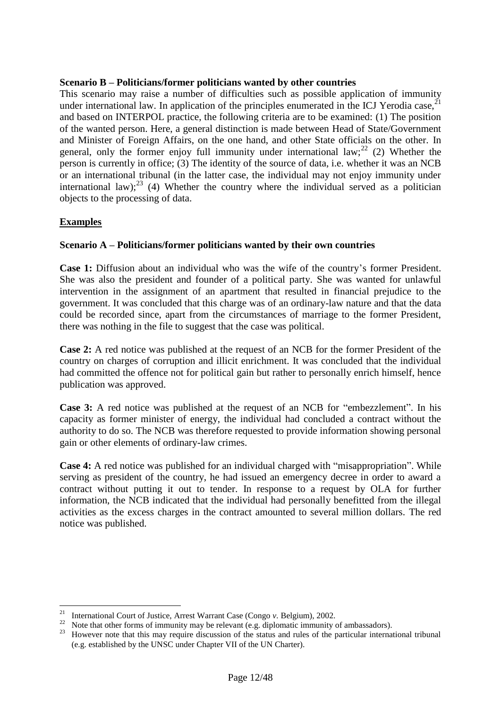#### **Scenario B – Politicians/former politicians wanted by other countries**

This scenario may raise a number of difficulties such as possible application of immunity under international law. In application of the principles enumerated in the ICJ Yerodia case,<sup>2</sup> and based on INTERPOL practice, the following criteria are to be examined: (1) The position of the wanted person. Here, a general distinction is made between Head of State/Government and Minister of Foreign Affairs, on the one hand, and other State officials on the other. In general, only the former enjoy full immunity under international  $law;^{22}$  (2) Whether the person is currently in office; (3) The identity of the source of data, i.e. whether it was an NCB or an international tribunal (in the latter case, the individual may not enjoy immunity under international law);<sup>23</sup> (4) Whether the country where the individual served as a politician objects to the processing of data.

#### **Examples**

 $\overline{a}$ 

## **Scenario A – Politicians/former politicians wanted by their own countries**

**Case 1:** Diffusion about an individual who was the wife of the country's former President. She was also the president and founder of a political party. She was wanted for unlawful intervention in the assignment of an apartment that resulted in financial prejudice to the government. It was concluded that this charge was of an ordinary-law nature and that the data could be recorded since, apart from the circumstances of marriage to the former President, there was nothing in the file to suggest that the case was political.

**Case 2:** A red notice was published at the request of an NCB for the former President of the country on charges of corruption and illicit enrichment. It was concluded that the individual had committed the offence not for political gain but rather to personally enrich himself, hence publication was approved.

**Case 3:** A red notice was published at the request of an NCB for "embezzlement". In his capacity as former minister of energy, the individual had concluded a contract without the authority to do so. The NCB was therefore requested to provide information showing personal gain or other elements of ordinary-law crimes.

**Case 4:** A red notice was published for an individual charged with "misappropriation". While serving as president of the country, he had issued an emergency decree in order to award a contract without putting it out to tender. In response to a request by OLA for further information, the NCB indicated that the individual had personally benefitted from the illegal activities as the excess charges in the contract amounted to several million dollars. The red notice was published.

<sup>21</sup> International Court of Justice, Arrest Warrant Case (Congo *v.* Belgium), 2002.

<sup>22</sup> Note that other forms of immunity may be relevant (e.g. diplomatic immunity of ambassadors).

<sup>&</sup>lt;sup>23</sup> However note that this may require discussion of the status and rules of the particular international tribunal (e.g. established by the UNSC under Chapter VII of the UN Charter).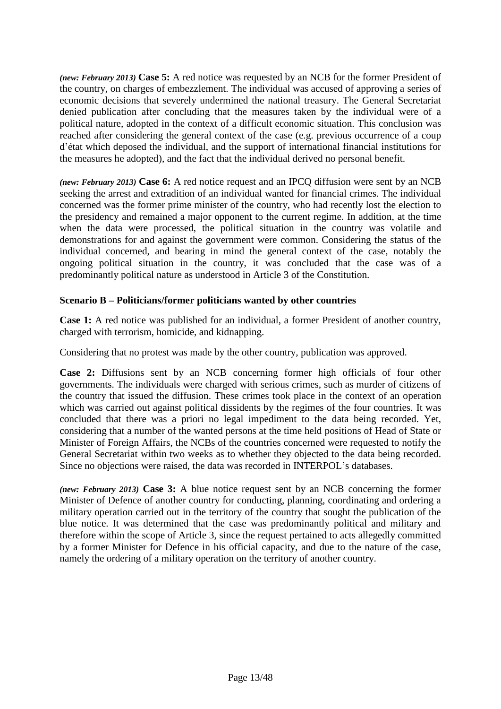*(new: February 2013)* **Case 5:** A red notice was requested by an NCB for the former President of the country, on charges of embezzlement. The individual was accused of approving a series of economic decisions that severely undermined the national treasury. The General Secretariat denied publication after concluding that the measures taken by the individual were of a political nature, adopted in the context of a difficult economic situation. This conclusion was reached after considering the general context of the case (e.g. previous occurrence of a coup d'état which deposed the individual, and the support of international financial institutions for the measures he adopted), and the fact that the individual derived no personal benefit.

*(new: February 2013)* **Case 6:** A red notice request and an IPCQ diffusion were sent by an NCB seeking the arrest and extradition of an individual wanted for financial crimes. The individual concerned was the former prime minister of the country, who had recently lost the election to the presidency and remained a major opponent to the current regime. In addition, at the time when the data were processed, the political situation in the country was volatile and demonstrations for and against the government were common. Considering the status of the individual concerned, and bearing in mind the general context of the case, notably the ongoing political situation in the country, it was concluded that the case was of a predominantly political nature as understood in Article 3 of the Constitution.

## **Scenario B – Politicians/former politicians wanted by other countries**

**Case 1:** A red notice was published for an individual, a former President of another country, charged with terrorism, homicide, and kidnapping.

Considering that no protest was made by the other country, publication was approved.

**Case 2:** Diffusions sent by an NCB concerning former high officials of four other governments. The individuals were charged with serious crimes, such as murder of citizens of the country that issued the diffusion. These crimes took place in the context of an operation which was carried out against political dissidents by the regimes of the four countries. It was concluded that there was a priori no legal impediment to the data being recorded. Yet, considering that a number of the wanted persons at the time held positions of Head of State or Minister of Foreign Affairs, the NCBs of the countries concerned were requested to notify the General Secretariat within two weeks as to whether they objected to the data being recorded. Since no objections were raised, the data was recorded in INTERPOL's databases.

*(new: February 2013)* **Case 3:** A blue notice request sent by an NCB concerning the former Minister of Defence of another country for conducting, planning, coordinating and ordering a military operation carried out in the territory of the country that sought the publication of the blue notice. It was determined that the case was predominantly political and military and therefore within the scope of Article 3, since the request pertained to acts allegedly committed by a former Minister for Defence in his official capacity, and due to the nature of the case, namely the ordering of a military operation on the territory of another country.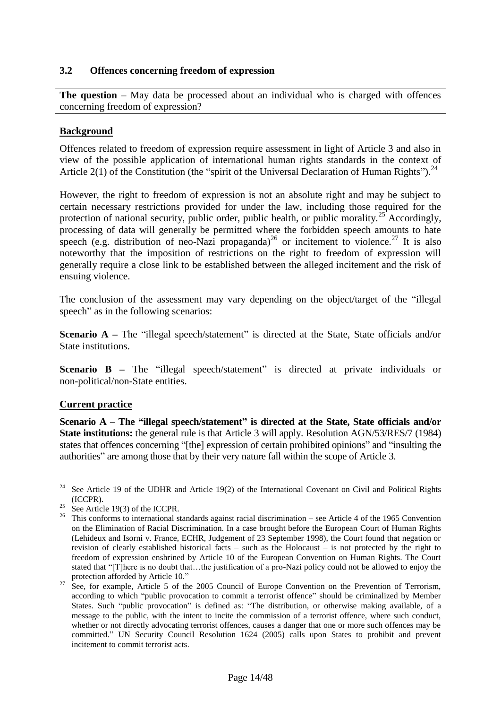#### <span id="page-14-0"></span>**3.2 Offences concerning freedom of expression**

**The question** – May data be processed about an individual who is charged with offences concerning freedom of expression?

#### **Background**

Offences related to freedom of expression require assessment in light of Article 3 and also in view of the possible application of international human rights standards in the context of Article 2(1) of the Constitution (the "spirit of the Universal Declaration of Human Rights").<sup>24</sup>

However, the right to freedom of expression is not an absolute right and may be subject to certain necessary restrictions provided for under the law, including those required for the protection of national security, public order, public health, or public morality.<sup>25</sup> Accordingly, processing of data will generally be permitted where the forbidden speech amounts to hate speech (e.g. distribution of neo-Nazi propaganda)<sup>26</sup> or incitement to violence.<sup>27</sup> It is also noteworthy that the imposition of restrictions on the right to freedom of expression will generally require a close link to be established between the alleged incitement and the risk of ensuing violence.

The conclusion of the assessment may vary depending on the object/target of the "illegal speech" as in the following scenarios:

**Scenario A** – The "illegal speech/statement" is directed at the State, State officials and/or State institutions.

**Scenario B** – The "illegal speech/statement" is directed at private individuals or non-political/non-State entities.

## **Current practice**

**Scenario A – The "illegal speech/statement" is directed at the State, State officials and/or State institutions:** the general rule is that Article 3 will apply. Resolution AGN/53/RES/7 (1984) states that offences concerning "[the] expression of certain prohibited opinions" and "insulting the authorities" are among those that by their very nature fall within the scope of Article 3.

<sup>24</sup> See Article 19 of the UDHR and Article 19(2) of the International Covenant on Civil and Political Rights (ICCPR).

See Article 19(3) of the ICCPR.

<sup>&</sup>lt;sup>26</sup> This conforms to international standards against racial discrimination – see Article 4 of the 1965 Convention on the Elimination of Racial Discrimination. In a case brought before the European Court of Human Rights (Lehideux and Isorni v. France, ECHR, Judgement of 23 September 1998), the Court found that negation or revision of clearly established historical facts – such as the Holocaust – is not protected by the right to freedom of expression enshrined by Article 10 of the European Convention on Human Rights. The Court stated that "[T]here is no doubt that…the justification of a pro-Nazi policy could not be allowed to enjoy the protection afforded by Article 10."

<sup>&</sup>lt;sup>27</sup> See, for example, Article 5 of the 2005 Council of Europe Convention on the Prevention of Terrorism, according to which "public provocation to commit a terrorist offence" should be criminalized by Member States. Such "public provocation" is defined as: "The distribution, or otherwise making available, of a message to the public, with the intent to incite the commission of a terrorist offence, where such conduct, whether or not directly advocating terrorist offences, causes a danger that one or more such offences may be committed." UN Security Council Resolution 1624 (2005) calls upon States to prohibit and prevent incitement to commit terrorist acts.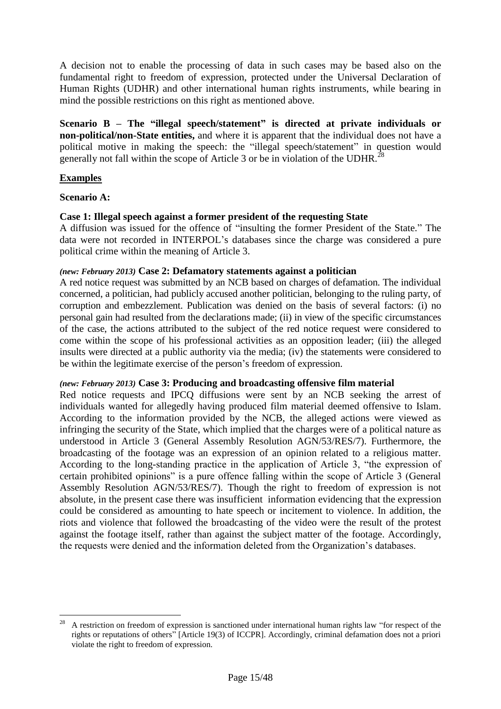A decision not to enable the processing of data in such cases may be based also on the fundamental right to freedom of expression, protected under the Universal Declaration of Human Rights (UDHR) and other international human rights instruments, while bearing in mind the possible restrictions on this right as mentioned above.

**Scenario B – The "illegal speech/statement" is directed at private individuals or non-political/non-State entities,** and where it is apparent that the individual does not have a political motive in making the speech: the "illegal speech/statement" in question would generally not fall within the scope of Article 3 or be in violation of the UDHR.<sup>28</sup>

## **Examples**

#### **Scenario A:**

#### **Case 1: Illegal speech against a former president of the requesting State**

A diffusion was issued for the offence of "insulting the former President of the State." The data were not recorded in INTERPOL's databases since the charge was considered a pure political crime within the meaning of Article 3.

#### *(new: February 2013)* **Case 2: Defamatory statements against a politician**

A red notice request was submitted by an NCB based on charges of defamation. The individual concerned, a politician, had publicly accused another politician, belonging to the ruling party, of corruption and embezzlement. Publication was denied on the basis of several factors: (i) no personal gain had resulted from the declarations made; (ii) in view of the specific circumstances of the case, the actions attributed to the subject of the red notice request were considered to come within the scope of his professional activities as an opposition leader; (iii) the alleged insults were directed at a public authority via the media; (iv) the statements were considered to be within the legitimate exercise of the person's freedom of expression.

#### *(new: February 2013)* **Case 3: Producing and broadcasting offensive film material**

Red notice requests and IPCQ diffusions were sent by an NCB seeking the arrest of individuals wanted for allegedly having produced film material deemed offensive to Islam. According to the information provided by the NCB, the alleged actions were viewed as infringing the security of the State, which implied that the charges were of a political nature as understood in Article 3 (General Assembly Resolution AGN/53/RES/7). Furthermore, the broadcasting of the footage was an expression of an opinion related to a religious matter. According to the long-standing practice in the application of Article 3, "the expression of certain prohibited opinions" is a pure offence falling within the scope of Article 3 (General Assembly Resolution AGN/53/RES/7). Though the right to freedom of expression is not absolute, in the present case there was insufficient information evidencing that the expression could be considered as amounting to hate speech or incitement to violence. In addition, the riots and violence that followed the broadcasting of the video were the result of the protest against the footage itself, rather than against the subject matter of the footage. Accordingly, the requests were denied and the information deleted from the Organization's databases.

 $\overline{a}$ <sup>28</sup> A restriction on freedom of expression is sanctioned under international human rights law "for respect of the rights or reputations of others" [Article 19(3) of ICCPR]. Accordingly, criminal defamation does not a priori violate the right to freedom of expression.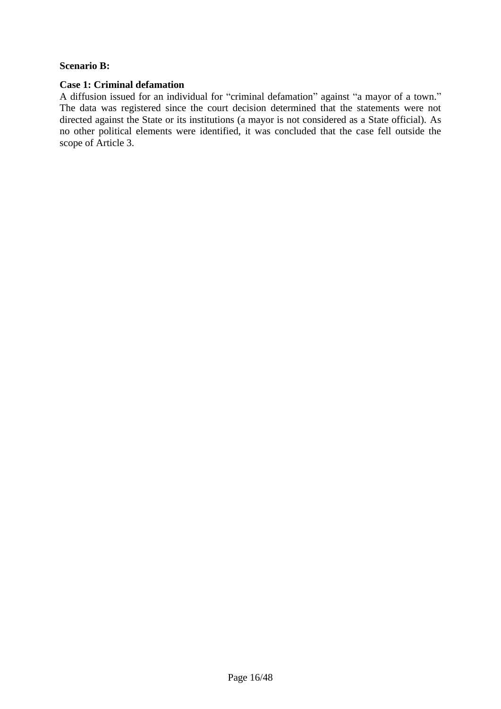#### **Scenario B:**

## **Case 1: Criminal defamation**

A diffusion issued for an individual for "criminal defamation" against "a mayor of a town." The data was registered since the court decision determined that the statements were not directed against the State or its institutions (a mayor is not considered as a State official). As no other political elements were identified, it was concluded that the case fell outside the scope of Article 3.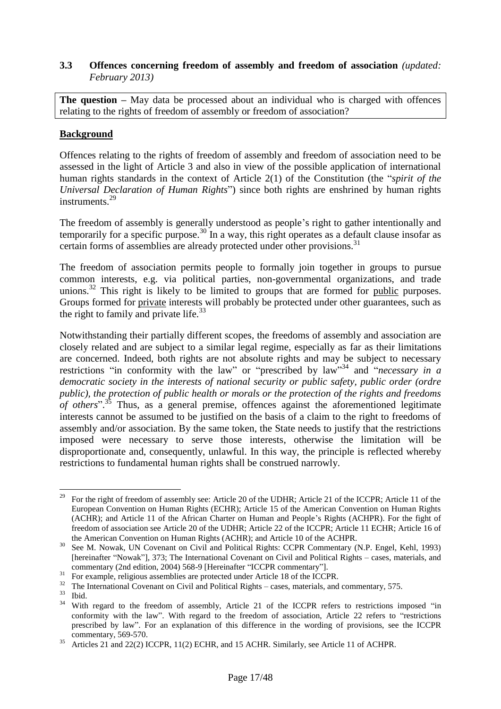## <span id="page-17-0"></span>**3.3 Offences concerning freedom of assembly and freedom of association** *(updated: February 2013)*

**The question** – May data be processed about an individual who is charged with offences relating to the rights of freedom of assembly or freedom of association?

## **Background**

Offences relating to the rights of freedom of assembly and freedom of association need to be assessed in the light of Article 3 and also in view of the possible application of international human rights standards in the context of Article 2(1) of the Constitution (the "*spirit of the Universal Declaration of Human Rights*") since both rights are enshrined by human rights instruments.<sup>29</sup>

The freedom of assembly is generally understood as people's right to gather intentionally and temporarily for a specific purpose.<sup>30</sup> In a way, this right operates as a default clause insofar as certain forms of assemblies are already protected under other provisions.<sup>31</sup>

The freedom of association permits people to formally join together in groups to pursue common interests, e.g. via political parties, non-governmental organizations, and trade unions.<sup>32</sup> This right is likely to be limited to groups that are formed for public purposes. Groups formed for private interests will probably be protected under other guarantees, such as the right to family and private life. $^{33}$ 

Notwithstanding their partially different scopes, the freedoms of assembly and association are closely related and are subject to a similar legal regime, especially as far as their limitations are concerned. Indeed, both rights are not absolute rights and may be subject to necessary restrictions "in conformity with the law" or "prescribed by law"<sup>34</sup> and "*necessary in a democratic society in the interests of national security or public safety, public order (ordre public), the protection of public health or morals or the protection of the rights and freedoms of others*". <sup>35</sup> Thus, as a general premise, offences against the aforementioned legitimate interests cannot be assumed to be justified on the basis of a claim to the right to freedoms of assembly and/or association. By the same token, the State needs to justify that the restrictions imposed were necessary to serve those interests, otherwise the limitation will be disproportionate and, consequently, unlawful. In this way, the principle is reflected whereby restrictions to fundamental human rights shall be construed narrowly.

<sup>29</sup> <sup>29</sup> For the right of freedom of assembly see: Article 20 of the UDHR; Article 21 of the ICCPR; Article 11 of the European Convention on Human Rights (ECHR); Article 15 of the American Convention on Human Rights (ACHR); and Article 11 of the African Charter on Human and People's Rights (ACHPR). For the fight of freedom of association see Article 20 of the UDHR; Article 22 of the ICCPR; Article 11 ECHR; Article 16 of the American Convention on Human Rights (ACHR); and Article 10 of the ACHPR.

<sup>&</sup>lt;sup>30</sup> See M. Nowak, UN Covenant on Civil and Political Rights: CCPR Commentary (N.P. Engel, Kehl, 1993) [hereinafter "Nowak"], 373; The International Covenant on Civil and Political Rights – cases, materials, and commentary (2nd edition, 2004) 568-9 [Hereinafter "ICCPR commentary"].

 $31$  For example, religious assemblies are protected under Article 18 of the ICCPR.

<sup>&</sup>lt;sup>32</sup> The International Covenant on Civil and Political Rights – cases, materials, and commentary, 575.

 $rac{33}{34}$  Ibid.

<sup>34</sup> With regard to the freedom of assembly, Article 21 of the ICCPR refers to restrictions imposed "in conformity with the law". With regard to the freedom of association, Article 22 refers to "restrictions prescribed by law". For an explanation of this difference in the wording of provisions, see the ICCPR commentary, 569-570.

<sup>&</sup>lt;sup>35</sup> Articles 21 and 22(2) ICCPR, 11(2) ECHR, and 15 ACHR. Similarly, see Article 11 of ACHPR.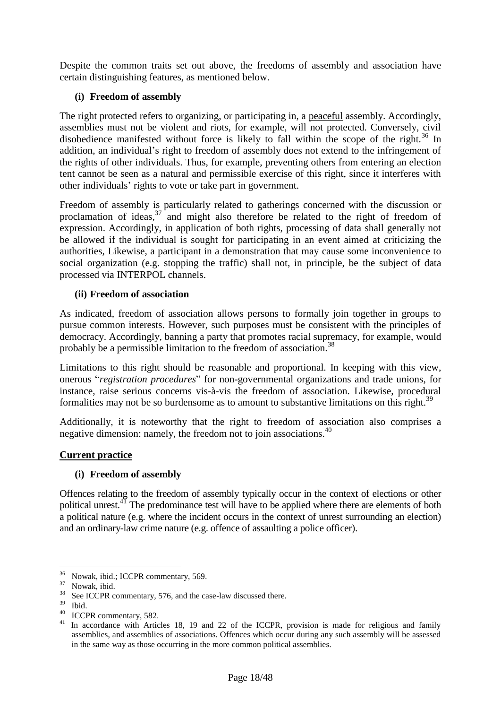Despite the common traits set out above, the freedoms of assembly and association have certain distinguishing features, as mentioned below.

## **(i) Freedom of assembly**

The right protected refers to organizing, or participating in, a peaceful assembly. Accordingly, assemblies must not be violent and riots, for example, will not protected. Conversely, civil disobedience manifested without force is likely to fall within the scope of the right.<sup>36</sup> In addition, an individual's right to freedom of assembly does not extend to the infringement of the rights of other individuals. Thus, for example, preventing others from entering an election tent cannot be seen as a natural and permissible exercise of this right, since it interferes with other individuals' rights to vote or take part in government.

Freedom of assembly is particularly related to gatherings concerned with the discussion or proclamation of ideas,  $37$  and might also therefore be related to the right of freedom of expression. Accordingly, in application of both rights, processing of data shall generally not be allowed if the individual is sought for participating in an event aimed at criticizing the authorities, Likewise, a participant in a demonstration that may cause some inconvenience to social organization (e.g. stopping the traffic) shall not, in principle, be the subject of data processed via INTERPOL channels.

#### **(ii) Freedom of association**

As indicated, freedom of association allows persons to formally join together in groups to pursue common interests. However, such purposes must be consistent with the principles of democracy. Accordingly, banning a party that promotes racial supremacy, for example, would probably be a permissible limitation to the freedom of association.<sup>38</sup>

Limitations to this right should be reasonable and proportional. In keeping with this view, onerous "*registration procedures*" for non-governmental organizations and trade unions, for instance, raise serious concerns vis-à-vis the freedom of association. Likewise, procedural formalities may not be so burdensome as to amount to substantive limitations on this right.<sup>39</sup>

Additionally, it is noteworthy that the right to freedom of association also comprises a negative dimension: namely, the freedom not to join associations.<sup>40</sup>

#### **Current practice**

#### **(i) Freedom of assembly**

Offences relating to the freedom of assembly typically occur in the context of elections or other political unrest.<sup>41</sup> The predominance test will have to be applied where there are elements of both a political nature (e.g. where the incident occurs in the context of unrest surrounding an election) and an ordinary-law crime nature (e.g. offence of assaulting a police officer).

<sup>36</sup>  $\frac{36}{37}$  Nowak, ibid.; ICCPR commentary, 569.

 $\frac{37}{38}$  Nowak, ibid.

<sup>&</sup>lt;sup>38</sup> See ICCPR commentary, 576, and the case-law discussed there.

 $rac{39}{40}$  Ibid.

 $^{40}$  ICCPR commentary, 582.

In accordance with Articles 18, 19 and 22 of the ICCPR, provision is made for religious and family assemblies, and assemblies of associations. Offences which occur during any such assembly will be assessed in the same way as those occurring in the more common political assemblies.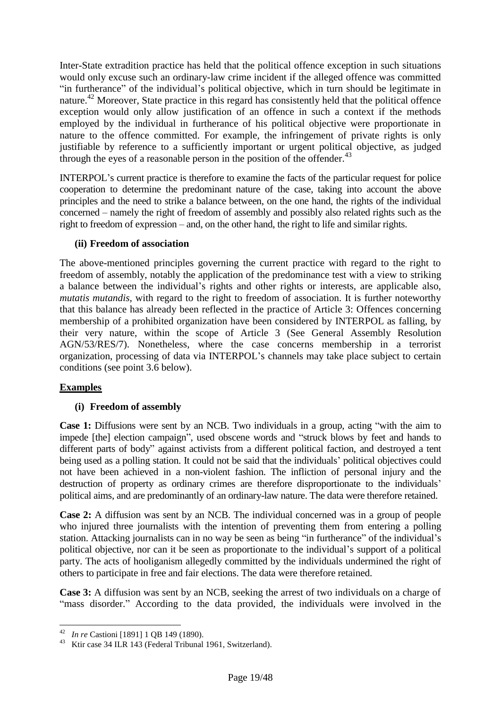Inter-State extradition practice has held that the political offence exception in such situations would only excuse such an ordinary-law crime incident if the alleged offence was committed "in furtherance" of the individual's political objective, which in turn should be legitimate in nature.<sup>42</sup> Moreover, State practice in this regard has consistently held that the political offence exception would only allow justification of an offence in such a context if the methods employed by the individual in furtherance of his political objective were proportionate in nature to the offence committed. For example, the infringement of private rights is only justifiable by reference to a sufficiently important or urgent political objective, as judged through the eyes of a reasonable person in the position of the offender.<sup>43</sup>

INTERPOL's current practice is therefore to examine the facts of the particular request for police cooperation to determine the predominant nature of the case, taking into account the above principles and the need to strike a balance between, on the one hand, the rights of the individual concerned – namely the right of freedom of assembly and possibly also related rights such as the right to freedom of expression – and, on the other hand, the right to life and similar rights.

#### **(ii) Freedom of association**

The above-mentioned principles governing the current practice with regard to the right to freedom of assembly, notably the application of the predominance test with a view to striking a balance between the individual's rights and other rights or interests, are applicable also, *mutatis mutandis*, with regard to the right to freedom of association. It is further noteworthy that this balance has already been reflected in the practice of Article 3: Offences concerning membership of a prohibited organization have been considered by INTERPOL as falling, by their very nature, within the scope of Article 3 (See General Assembly Resolution AGN/53/RES/7). Nonetheless, where the case concerns membership in a terrorist organization, processing of data via INTERPOL's channels may take place subject to certain conditions (see point 3.6 below).

## **Examples**

 $\overline{a}$ 

## **(i) Freedom of assembly**

**Case 1:** Diffusions were sent by an NCB. Two individuals in a group, acting "with the aim to impede [the] election campaign", used obscene words and "struck blows by feet and hands to different parts of body" against activists from a different political faction, and destroyed a tent being used as a polling station. It could not be said that the individuals' political objectives could not have been achieved in a non-violent fashion. The infliction of personal injury and the destruction of property as ordinary crimes are therefore disproportionate to the individuals' political aims, and are predominantly of an ordinary-law nature. The data were therefore retained.

**Case 2:** A diffusion was sent by an NCB. The individual concerned was in a group of people who injured three journalists with the intention of preventing them from entering a polling station. Attacking journalists can in no way be seen as being "in furtherance" of the individual's political objective, nor can it be seen as proportionate to the individual's support of a political party. The acts of hooliganism allegedly committed by the individuals undermined the right of others to participate in free and fair elections. The data were therefore retained.

**Case 3:** A diffusion was sent by an NCB, seeking the arrest of two individuals on a charge of "mass disorder." According to the data provided, the individuals were involved in the

<sup>42</sup> *In re* Castioni [1891] 1 QB 149 (1890).

<sup>43</sup> Ktir case 34 ILR 143 (Federal Tribunal 1961, Switzerland).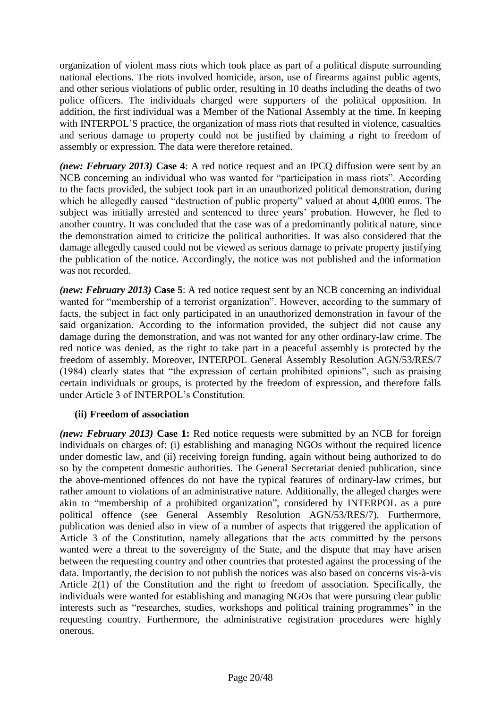organization of violent mass riots which took place as part of a political dispute surrounding national elections. The riots involved homicide, arson, use of firearms against public agents, and other serious violations of public order, resulting in 10 deaths including the deaths of two police officers. The individuals charged were supporters of the political opposition. In addition, the first individual was a Member of the National Assembly at the time. In keeping with INTERPOL'S practice, the organization of mass riots that resulted in violence, casualties and serious damage to property could not be justified by claiming a right to freedom of assembly or expression. The data were therefore retained.

*(new: February 2013)* **Case 4**: A red notice request and an IPCQ diffusion were sent by an NCB concerning an individual who was wanted for "participation in mass riots". According to the facts provided, the subject took part in an unauthorized political demonstration, during which he allegedly caused "destruction of public property" valued at about 4,000 euros. The subject was initially arrested and sentenced to three years' probation. However, he fled to another country. It was concluded that the case was of a predominantly political nature, since the demonstration aimed to criticize the political authorities. It was also considered that the damage allegedly caused could not be viewed as serious damage to private property justifying the publication of the notice. Accordingly, the notice was not published and the information was not recorded.

*(new: February 2013)* **Case 5**: A red notice request sent by an NCB concerning an individual wanted for "membership of a terrorist organization". However, according to the summary of facts, the subject in fact only participated in an unauthorized demonstration in favour of the said organization. According to the information provided, the subject did not cause any damage during the demonstration, and was not wanted for any other ordinary-law crime. The red notice was denied, as the right to take part in a peaceful assembly is protected by the freedom of assembly. Moreover, INTERPOL General Assembly Resolution AGN/53/RES/7 (1984) clearly states that "the expression of certain prohibited opinions", such as praising certain individuals or groups, is protected by the freedom of expression, and therefore falls under Article 3 of INTERPOL's Constitution.

## **(ii) Freedom of association**

*(new: February 2013)* **Case 1:** Red notice requests were submitted by an NCB for foreign individuals on charges of: (i) establishing and managing NGOs without the required licence under domestic law, and (ii) receiving foreign funding, again without being authorized to do so by the competent domestic authorities. The General Secretariat denied publication, since the above-mentioned offences do not have the typical features of ordinary-law crimes, but rather amount to violations of an administrative nature. Additionally, the alleged charges were akin to "membership of a prohibited organization", considered by INTERPOL as a pure political offence (see General Assembly Resolution AGN/53/RES/7). Furthermore, publication was denied also in view of a number of aspects that triggered the application of Article 3 of the Constitution, namely allegations that the acts committed by the persons wanted were a threat to the sovereignty of the State, and the dispute that may have arisen between the requesting country and other countries that protested against the processing of the data. Importantly, the decision to not publish the notices was also based on concerns vis-à-vis Article 2(1) of the Constitution and the right to freedom of association. Specifically, the individuals were wanted for establishing and managing NGOs that were pursuing clear public interests such as "researches, studies, workshops and political training programmes" in the requesting country. Furthermore, the administrative registration procedures were highly onerous.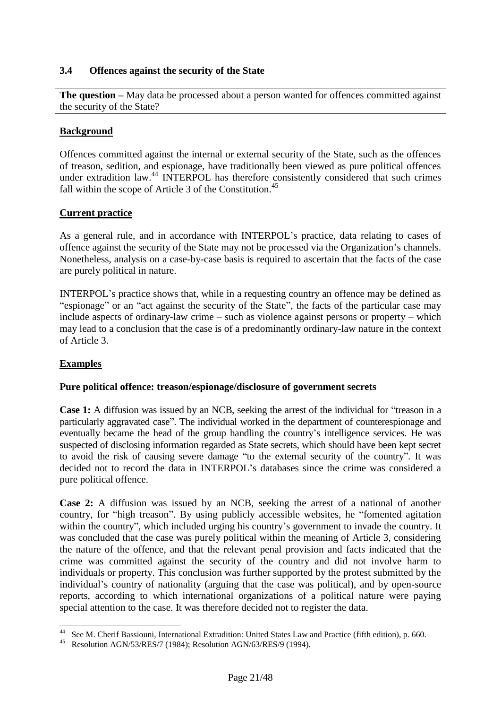#### <span id="page-21-0"></span>**3.4 Offences against the security of the State**

**The question –** May data be processed about a person wanted for offences committed against the security of the State?

#### **Background**

Offences committed against the internal or external security of the State, such as the offences of treason, sedition, and espionage, have traditionally been viewed as pure political offences under extradition law.<sup>44</sup> INTERPOL has therefore consistently considered that such crimes fall within the scope of Article 3 of the Constitution.<sup>45</sup>

#### **Current practice**

As a general rule, and in accordance with INTERPOL's practice, data relating to cases of offence against the security of the State may not be processed via the Organization's channels. Nonetheless, analysis on a case-by-case basis is required to ascertain that the facts of the case are purely political in nature.

INTERPOL's practice shows that, while in a requesting country an offence may be defined as "espionage" or an "act against the security of the State", the facts of the particular case may include aspects of ordinary-law crime – such as violence against persons or property – which may lead to a conclusion that the case is of a predominantly ordinary-law nature in the context of Article 3.

## **Examples**

 $\overline{a}$ 

#### **Pure political offence: treason/espionage/disclosure of government secrets**

**Case 1:** A diffusion was issued by an NCB, seeking the arrest of the individual for "treason in a particularly aggravated case". The individual worked in the department of counterespionage and eventually became the head of the group handling the country's intelligence services. He was suspected of disclosing information regarded as State secrets, which should have been kept secret to avoid the risk of causing severe damage "to the external security of the country". It was decided not to record the data in INTERPOL's databases since the crime was considered a pure political offence.

**Case 2:** A diffusion was issued by an NCB, seeking the arrest of a national of another country, for "high treason". By using publicly accessible websites, he "fomented agitation within the country", which included urging his country's government to invade the country. It was concluded that the case was purely political within the meaning of Article 3, considering the nature of the offence, and that the relevant penal provision and facts indicated that the crime was committed against the security of the country and did not involve harm to individuals or property. This conclusion was further supported by the protest submitted by the individual's country of nationality (arguing that the case was political), and by open-source reports, according to which international organizations of a political nature were paying special attention to the case. It was therefore decided not to register the data.

See M. Cherif Bassiouni, International Extradition: United States Law and Practice (fifth edition), p. 660.

<sup>45</sup> Resolution AGN/53/RES/7 (1984); Resolution AGN/63/RES/9 (1994).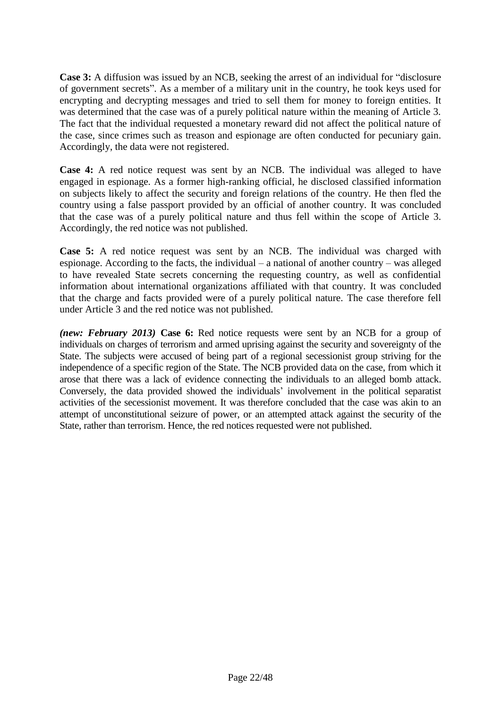**Case 3:** A diffusion was issued by an NCB, seeking the arrest of an individual for "disclosure of government secrets". As a member of a military unit in the country, he took keys used for encrypting and decrypting messages and tried to sell them for money to foreign entities. It was determined that the case was of a purely political nature within the meaning of Article 3. The fact that the individual requested a monetary reward did not affect the political nature of the case, since crimes such as treason and espionage are often conducted for pecuniary gain. Accordingly, the data were not registered.

**Case 4:** A red notice request was sent by an NCB. The individual was alleged to have engaged in espionage. As a former high-ranking official, he disclosed classified information on subjects likely to affect the security and foreign relations of the country. He then fled the country using a false passport provided by an official of another country. It was concluded that the case was of a purely political nature and thus fell within the scope of Article 3. Accordingly, the red notice was not published.

**Case 5:** A red notice request was sent by an NCB. The individual was charged with espionage. According to the facts, the individual – a national of another country – was alleged to have revealed State secrets concerning the requesting country, as well as confidential information about international organizations affiliated with that country. It was concluded that the charge and facts provided were of a purely political nature. The case therefore fell under Article 3 and the red notice was not published.

*(new: February 2013)* **Case 6:** Red notice requests were sent by an NCB for a group of individuals on charges of terrorism and armed uprising against the security and sovereignty of the State. The subjects were accused of being part of a regional secessionist group striving for the independence of a specific region of the State. The NCB provided data on the case, from which it arose that there was a lack of evidence connecting the individuals to an alleged bomb attack. Conversely, the data provided showed the individuals' involvement in the political separatist activities of the secessionist movement. It was therefore concluded that the case was akin to an attempt of unconstitutional seizure of power, or an attempted attack against the security of the State, rather than terrorism. Hence, the red notices requested were not published.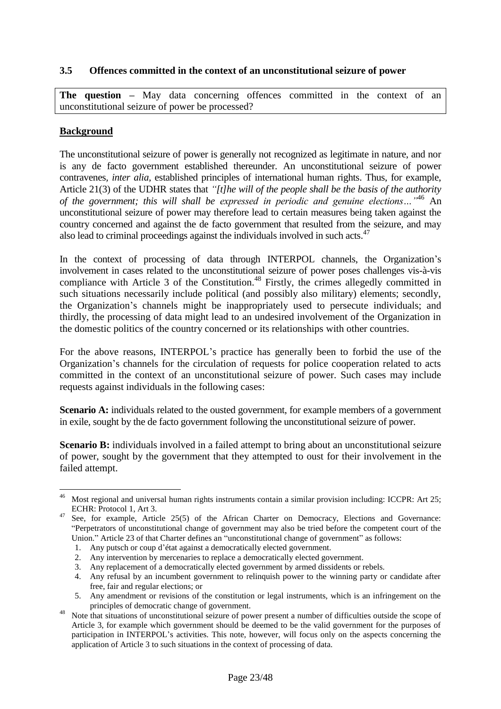## <span id="page-23-0"></span>**3.5 Offences committed in the context of an unconstitutional seizure of power**

**The question –** May data concerning offences committed in the context of an unconstitutional seizure of power be processed?

## **Background**

 $\overline{a}$ 

The unconstitutional seizure of power is generally not recognized as legitimate in nature, and nor is any de facto government established thereunder. An unconstitutional seizure of power contravenes*, inter alia,* established principles of international human rights. Thus, for example, Article 21(3) of the UDHR states that *"[t]he will of the people shall be the basis of the authority of the government; this will shall be expressed in periodic and genuine elections…"* <sup>46</sup> An unconstitutional seizure of power may therefore lead to certain measures being taken against the country concerned and against the de facto government that resulted from the seizure, and may also lead to criminal proceedings against the individuals involved in such acts. $47$ 

In the context of processing of data through INTERPOL channels, the Organization's involvement in cases related to the unconstitutional seizure of power poses challenges vis-à-vis compliance with Article 3 of the Constitution.<sup>48</sup> Firstly, the crimes allegedly committed in such situations necessarily include political (and possibly also military) elements; secondly, the Organization's channels might be inappropriately used to persecute individuals; and thirdly, the processing of data might lead to an undesired involvement of the Organization in the domestic politics of the country concerned or its relationships with other countries.

For the above reasons, INTERPOL's practice has generally been to forbid the use of the Organization's channels for the circulation of requests for police cooperation related to acts committed in the context of an unconstitutional seizure of power. Such cases may include requests against individuals in the following cases:

**Scenario A:** individuals related to the ousted government, for example members of a government in exile, sought by the de facto government following the unconstitutional seizure of power.

**Scenario B:** individuals involved in a failed attempt to bring about an unconstitutional seizure of power, sought by the government that they attempted to oust for their involvement in the failed attempt.

Most regional and universal human rights instruments contain a similar provision including: ICCPR: Art 25; ECHR: Protocol 1, Art 3.

See, for example, Article 25(5) of the African Charter on Democracy, Elections and Governance: "Perpetrators of unconstitutional change of government may also be tried before the competent court of the Union." Article 23 of that Charter defines an "unconstitutional change of government" as follows:

<sup>1.</sup> Any putsch or coup d'état against a democratically elected government.

<sup>2.</sup> Any intervention by mercenaries to replace a democratically elected government.

<sup>3.</sup> Any replacement of a democratically elected government by armed dissidents or rebels.

<sup>4.</sup> Any refusal by an incumbent government to relinquish power to the winning party or candidate after free, fair and regular elections; or

<sup>5.</sup> Any amendment or revisions of the constitution or legal instruments, which is an infringement on the principles of democratic change of government.

Note that situations of unconstitutional seizure of power present a number of difficulties outside the scope of Article 3, for example which government should be deemed to be the valid government for the purposes of participation in INTERPOL's activities. This note, however, will focus only on the aspects concerning the application of Article 3 to such situations in the context of processing of data.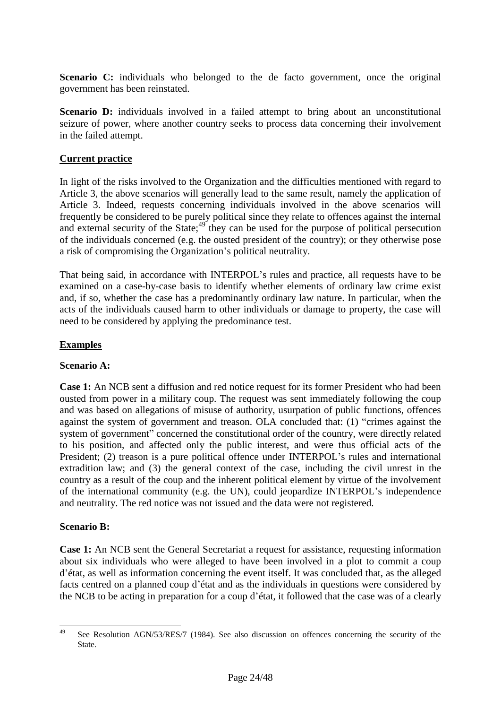**Scenario C:** individuals who belonged to the de facto government, once the original government has been reinstated.

**Scenario D:** individuals involved in a failed attempt to bring about an unconstitutional seizure of power, where another country seeks to process data concerning their involvement in the failed attempt.

#### **Current practice**

In light of the risks involved to the Organization and the difficulties mentioned with regard to Article 3, the above scenarios will generally lead to the same result, namely the application of Article 3. Indeed, requests concerning individuals involved in the above scenarios will frequently be considered to be purely political since they relate to offences against the internal and external security of the State;  $49 \text{ they can be used for the purpose of political preservation}$ of the individuals concerned (e.g. the ousted president of the country); or they otherwise pose a risk of compromising the Organization's political neutrality.

That being said, in accordance with INTERPOL's rules and practice, all requests have to be examined on a case-by-case basis to identify whether elements of ordinary law crime exist and, if so, whether the case has a predominantly ordinary law nature. In particular, when the acts of the individuals caused harm to other individuals or damage to property, the case will need to be considered by applying the predominance test.

#### **Examples**

#### **Scenario A:**

**Case 1:** An NCB sent a diffusion and red notice request for its former President who had been ousted from power in a military coup. The request was sent immediately following the coup and was based on allegations of misuse of authority, usurpation of public functions, offences against the system of government and treason. OLA concluded that: (1) "crimes against the system of government" concerned the constitutional order of the country, were directly related to his position, and affected only the public interest, and were thus official acts of the President; (2) treason is a pure political offence under INTERPOL's rules and international extradition law; and (3) the general context of the case, including the civil unrest in the country as a result of the coup and the inherent political element by virtue of the involvement of the international community (e.g. the UN), could jeopardize INTERPOL's independence and neutrality. The red notice was not issued and the data were not registered.

#### **Scenario B:**

**Case 1:** An NCB sent the General Secretariat a request for assistance, requesting information about six individuals who were alleged to have been involved in a plot to commit a coup d'état, as well as information concerning the event itself. It was concluded that, as the alleged facts centred on a planned coup d'état and as the individuals in questions were considered by the NCB to be acting in preparation for a coup d'état, it followed that the case was of a clearly

<sup>49</sup> See Resolution AGN/53/RES/7 (1984). See also discussion on offences concerning the security of the State.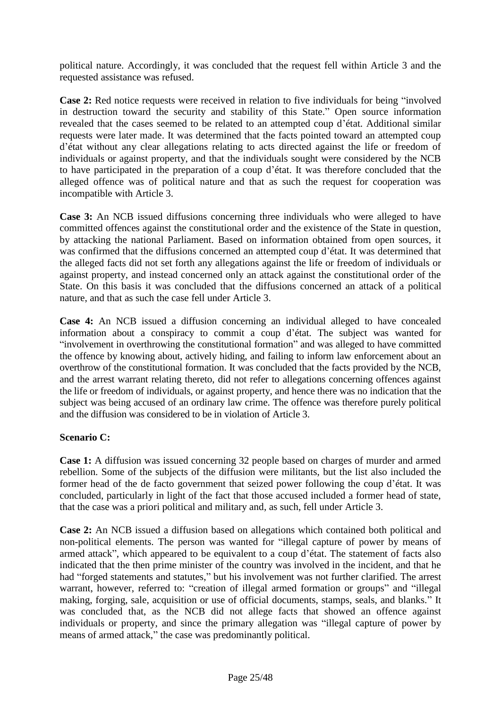political nature. Accordingly, it was concluded that the request fell within Article 3 and the requested assistance was refused.

**Case 2:** Red notice requests were received in relation to five individuals for being "involved in destruction toward the security and stability of this State." Open source information revealed that the cases seemed to be related to an attempted coup d'état. Additional similar requests were later made. It was determined that the facts pointed toward an attempted coup d'état without any clear allegations relating to acts directed against the life or freedom of individuals or against property, and that the individuals sought were considered by the NCB to have participated in the preparation of a coup d'état. It was therefore concluded that the alleged offence was of political nature and that as such the request for cooperation was incompatible with Article 3.

**Case 3:** An NCB issued diffusions concerning three individuals who were alleged to have committed offences against the constitutional order and the existence of the State in question, by attacking the national Parliament. Based on information obtained from open sources, it was confirmed that the diffusions concerned an attempted coup d'état. It was determined that the alleged facts did not set forth any allegations against the life or freedom of individuals or against property, and instead concerned only an attack against the constitutional order of the State. On this basis it was concluded that the diffusions concerned an attack of a political nature, and that as such the case fell under Article 3.

**Case 4:** An NCB issued a diffusion concerning an individual alleged to have concealed information about a conspiracy to commit a coup d'état. The subject was wanted for "involvement in overthrowing the constitutional formation" and was alleged to have committed the offence by knowing about, actively hiding, and failing to inform law enforcement about an overthrow of the constitutional formation. It was concluded that the facts provided by the NCB, and the arrest warrant relating thereto, did not refer to allegations concerning offences against the life or freedom of individuals, or against property, and hence there was no indication that the subject was being accused of an ordinary law crime. The offence was therefore purely political and the diffusion was considered to be in violation of Article 3.

## **Scenario C:**

**Case 1:** A diffusion was issued concerning 32 people based on charges of murder and armed rebellion. Some of the subjects of the diffusion were militants, but the list also included the former head of the de facto government that seized power following the coup d'état. It was concluded, particularly in light of the fact that those accused included a former head of state, that the case was a priori political and military and, as such, fell under Article 3.

**Case 2:** An NCB issued a diffusion based on allegations which contained both political and non-political elements. The person was wanted for "illegal capture of power by means of armed attack", which appeared to be equivalent to a coup d'état. The statement of facts also indicated that the then prime minister of the country was involved in the incident, and that he had "forged statements and statutes," but his involvement was not further clarified. The arrest warrant, however, referred to: "creation of illegal armed formation or groups" and "illegal making, forging, sale, acquisition or use of official documents, stamps, seals, and blanks." It was concluded that, as the NCB did not allege facts that showed an offence against individuals or property, and since the primary allegation was "illegal capture of power by means of armed attack," the case was predominantly political.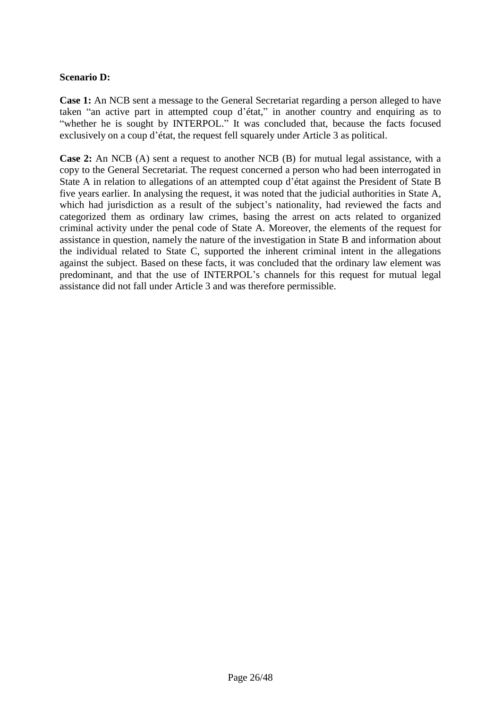#### **Scenario D:**

**Case 1:** An NCB sent a message to the General Secretariat regarding a person alleged to have taken "an active part in attempted coup d'état," in another country and enquiring as to "whether he is sought by INTERPOL." It was concluded that, because the facts focused exclusively on a coup d'état, the request fell squarely under Article 3 as political.

**Case 2:** An NCB (A) sent a request to another NCB (B) for mutual legal assistance, with a copy to the General Secretariat. The request concerned a person who had been interrogated in State A in relation to allegations of an attempted coup d'état against the President of State B five years earlier. In analysing the request, it was noted that the judicial authorities in State A, which had jurisdiction as a result of the subject's nationality, had reviewed the facts and categorized them as ordinary law crimes, basing the arrest on acts related to organized criminal activity under the penal code of State A. Moreover, the elements of the request for assistance in question, namely the nature of the investigation in State B and information about the individual related to State C, supported the inherent criminal intent in the allegations against the subject. Based on these facts, it was concluded that the ordinary law element was predominant, and that the use of INTERPOL's channels for this request for mutual legal assistance did not fall under Article 3 and was therefore permissible.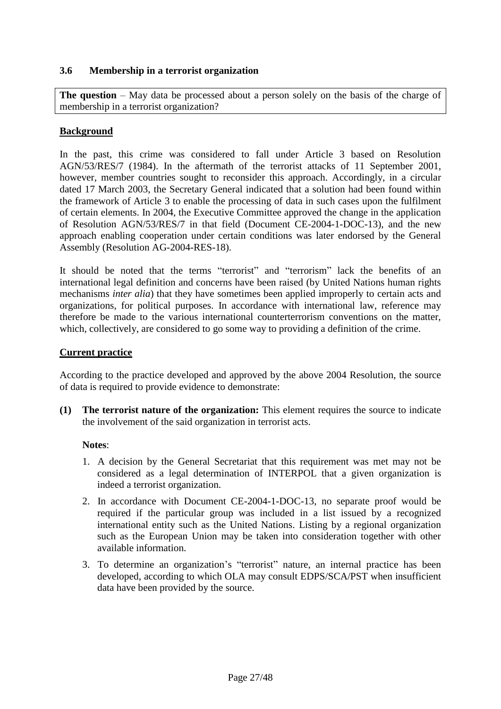#### <span id="page-27-0"></span>**3.6 Membership in a terrorist organization**

**The question** – May data be processed about a person solely on the basis of the charge of membership in a terrorist organization?

## **Background**

In the past, this crime was considered to fall under Article 3 based on Resolution AGN/53/RES/7 (1984). In the aftermath of the terrorist attacks of 11 September 2001, however, member countries sought to reconsider this approach. Accordingly, in a circular dated 17 March 2003, the Secretary General indicated that a solution had been found within the framework of Article 3 to enable the processing of data in such cases upon the fulfilment of certain elements. In 2004, the Executive Committee approved the change in the application of Resolution AGN/53/RES/7 in that field (Document CE-2004-1-DOC-13), and the new approach enabling cooperation under certain conditions was later endorsed by the General Assembly (Resolution AG-2004-RES-18).

It should be noted that the terms "terrorist" and "terrorism" lack the benefits of an international legal definition and concerns have been raised (by United Nations human rights mechanisms *inter alia*) that they have sometimes been applied improperly to certain acts and organizations, for political purposes. In accordance with international law, reference may therefore be made to the various international counterterrorism conventions on the matter, which, collectively, are considered to go some way to providing a definition of the crime.

#### **Current practice**

According to the practice developed and approved by the above 2004 Resolution, the source of data is required to provide evidence to demonstrate:

**(1) The terrorist nature of the organization:** This element requires the source to indicate the involvement of the said organization in terrorist acts.

#### **Notes**:

- 1. A decision by the General Secretariat that this requirement was met may not be considered as a legal determination of INTERPOL that a given organization is indeed a terrorist organization.
- 2. In accordance with Document CE-2004-1-DOC-13, no separate proof would be required if the particular group was included in a list issued by a recognized international entity such as the United Nations. Listing by a regional organization such as the European Union may be taken into consideration together with other available information.
- 3. To determine an organization's "terrorist" nature, an internal practice has been developed, according to which OLA may consult EDPS/SCA/PST when insufficient data have been provided by the source.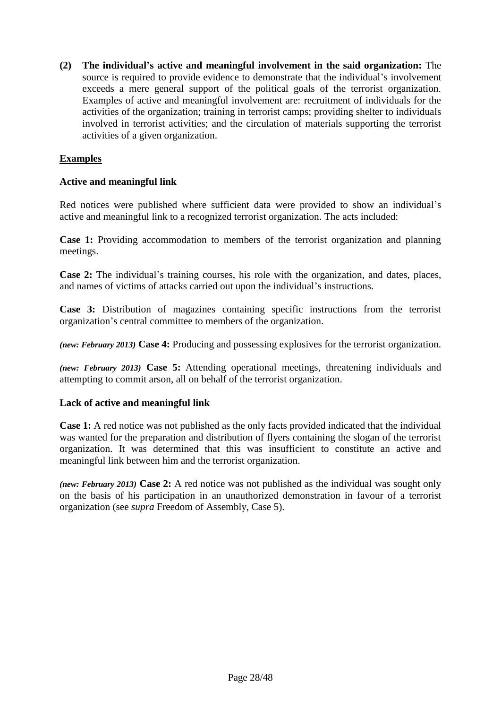**(2) The individual's active and meaningful involvement in the said organization:** The source is required to provide evidence to demonstrate that the individual's involvement exceeds a mere general support of the political goals of the terrorist organization. Examples of active and meaningful involvement are: recruitment of individuals for the activities of the organization; training in terrorist camps; providing shelter to individuals involved in terrorist activities; and the circulation of materials supporting the terrorist activities of a given organization.

## **Examples**

## **Active and meaningful link**

Red notices were published where sufficient data were provided to show an individual's active and meaningful link to a recognized terrorist organization. The acts included:

**Case 1:** Providing accommodation to members of the terrorist organization and planning meetings.

**Case 2:** The individual's training courses, his role with the organization, and dates, places, and names of victims of attacks carried out upon the individual's instructions.

**Case 3:** Distribution of magazines containing specific instructions from the terrorist organization's central committee to members of the organization.

*(new: February 2013)* **Case 4:** Producing and possessing explosives for the terrorist organization.

*(new: February 2013)* **Case 5:** Attending operational meetings, threatening individuals and attempting to commit arson, all on behalf of the terrorist organization.

#### **Lack of active and meaningful link**

**Case 1:** A red notice was not published as the only facts provided indicated that the individual was wanted for the preparation and distribution of flyers containing the slogan of the terrorist organization. It was determined that this was insufficient to constitute an active and meaningful link between him and the terrorist organization.

*(new: February 2013)* **Case 2:** A red notice was not published as the individual was sought only on the basis of his participation in an unauthorized demonstration in favour of a terrorist organization (see *supra* Freedom of Assembly, Case 5).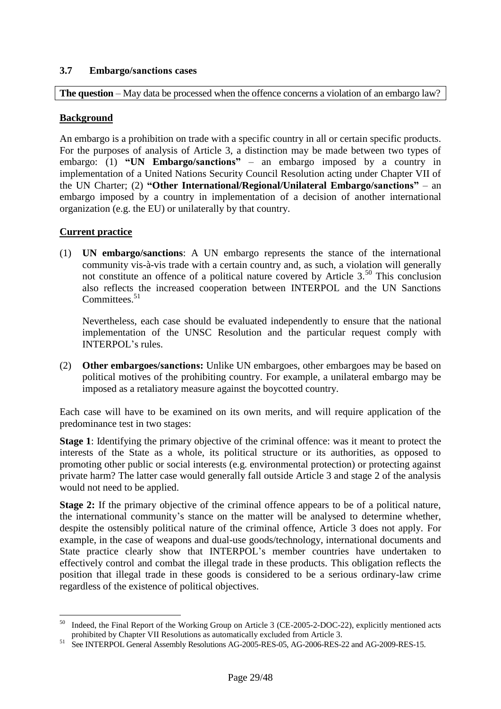## <span id="page-29-0"></span>**3.7 Embargo/sanctions cases**

**The question** – May data be processed when the offence concerns a violation of an embargo law?

#### **Background**

An embargo is a prohibition on trade with a specific country in all or certain specific products. For the purposes of analysis of Article 3, a distinction may be made between two types of embargo: (1) **"UN Embargo/sanctions"** – an embargo imposed by a country in implementation of a United Nations Security Council Resolution acting under Chapter VII of the UN Charter; (2) **"Other International/Regional/Unilateral Embargo/sanctions"** – an embargo imposed by a country in implementation of a decision of another international organization (e.g. the EU) or unilaterally by that country.

#### **Current practice**

(1) **UN embargo/sanctions**: A UN embargo represents the stance of the international community vis-à-vis trade with a certain country and, as such, a violation will generally not constitute an offence of a political nature covered by Article  $3<sup>50</sup>$ . This conclusion also reflects the increased cooperation between INTERPOL and the UN Sanctions Committees.<sup>51</sup>

Nevertheless, each case should be evaluated independently to ensure that the national implementation of the UNSC Resolution and the particular request comply with INTERPOL's rules.

(2) **Other embargoes/sanctions:** Unlike UN embargoes, other embargoes may be based on political motives of the prohibiting country. For example, a unilateral embargo may be imposed as a retaliatory measure against the boycotted country.

Each case will have to be examined on its own merits, and will require application of the predominance test in two stages:

**Stage 1**: Identifying the primary objective of the criminal offence: was it meant to protect the interests of the State as a whole, its political structure or its authorities, as opposed to promoting other public or social interests (e.g. environmental protection) or protecting against private harm? The latter case would generally fall outside Article 3 and stage 2 of the analysis would not need to be applied.

**Stage 2:** If the primary objective of the criminal offence appears to be of a political nature, the international community's stance on the matter will be analysed to determine whether, despite the ostensibly political nature of the criminal offence, Article 3 does not apply. For example, in the case of weapons and dual-use goods/technology, international documents and State practice clearly show that INTERPOL's member countries have undertaken to effectively control and combat the illegal trade in these products. This obligation reflects the position that illegal trade in these goods is considered to be a serious ordinary-law crime regardless of the existence of political objectives.

 $\overline{a}$ Indeed, the Final Report of the Working Group on Article 3 (CE-2005-2-DOC-22), explicitly mentioned acts prohibited by Chapter VII Resolutions as automatically excluded from Article 3.

<sup>&</sup>lt;sup>51</sup> See INTERPOL General Assembly Resolutions AG-2005-RES-05, AG-2006-RES-22 and AG-2009-RES-15.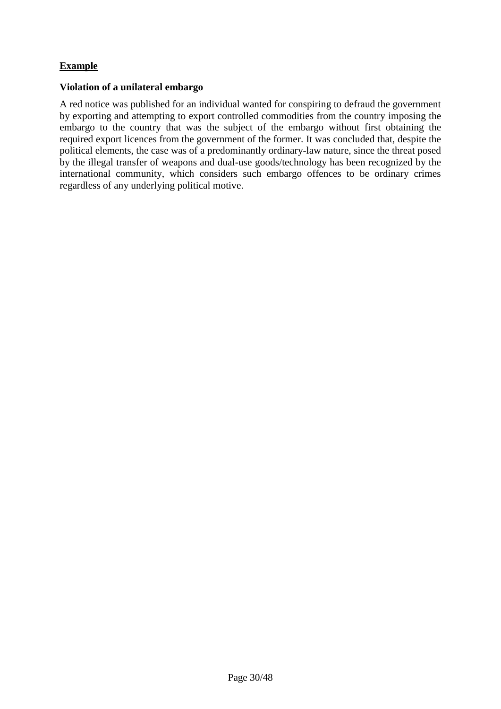## **Example**

#### **Violation of a unilateral embargo**

A red notice was published for an individual wanted for conspiring to defraud the government by exporting and attempting to export controlled commodities from the country imposing the embargo to the country that was the subject of the embargo without first obtaining the required export licences from the government of the former. It was concluded that, despite the political elements, the case was of a predominantly ordinary-law nature, since the threat posed by the illegal transfer of weapons and dual-use goods/technology has been recognized by the international community, which considers such embargo offences to be ordinary crimes regardless of any underlying political motive.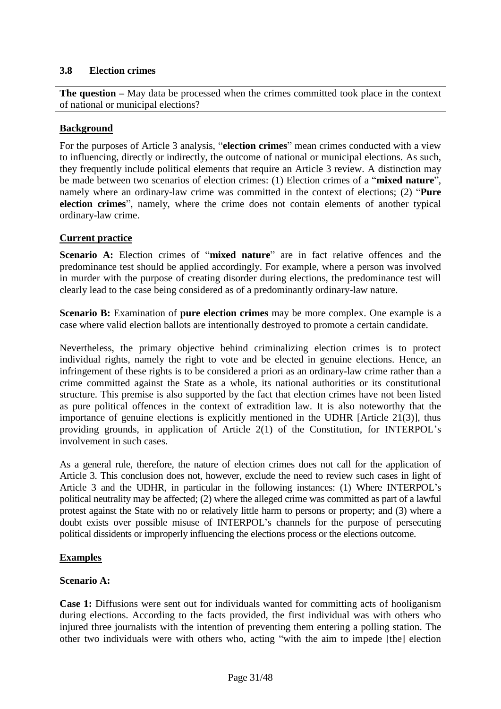## <span id="page-31-0"></span>**3.8 Election crimes**

**The question –** May data be processed when the crimes committed took place in the context of national or municipal elections?

## **Background**

For the purposes of Article 3 analysis, "**election crimes**" mean crimes conducted with a view to influencing, directly or indirectly, the outcome of national or municipal elections. As such, they frequently include political elements that require an Article 3 review. A distinction may be made between two scenarios of election crimes: (1) Election crimes of a "**mixed nature**", namely where an ordinary-law crime was committed in the context of elections; (2) "**Pure election crimes**", namely, where the crime does not contain elements of another typical ordinary-law crime.

#### **Current practice**

**Scenario A:** Election crimes of "**mixed nature**" are in fact relative offences and the predominance test should be applied accordingly. For example, where a person was involved in murder with the purpose of creating disorder during elections, the predominance test will clearly lead to the case being considered as of a predominantly ordinary-law nature.

**Scenario B:** Examination of **pure election crimes** may be more complex. One example is a case where valid election ballots are intentionally destroyed to promote a certain candidate.

Nevertheless, the primary objective behind criminalizing election crimes is to protect individual rights, namely the right to vote and be elected in genuine elections. Hence, an infringement of these rights is to be considered a priori as an ordinary-law crime rather than a crime committed against the State as a whole, its national authorities or its constitutional structure. This premise is also supported by the fact that election crimes have not been listed as pure political offences in the context of extradition law. It is also noteworthy that the importance of genuine elections is explicitly mentioned in the UDHR [Article 21(3)], thus providing grounds, in application of Article 2(1) of the Constitution, for INTERPOL's involvement in such cases.

As a general rule, therefore, the nature of election crimes does not call for the application of Article 3. This conclusion does not, however, exclude the need to review such cases in light of Article 3 and the UDHR, in particular in the following instances: (1) Where INTERPOL's political neutrality may be affected; (2) where the alleged crime was committed as part of a lawful protest against the State with no or relatively little harm to persons or property; and (3) where a doubt exists over possible misuse of INTERPOL's channels for the purpose of persecuting political dissidents or improperly influencing the elections process or the elections outcome.

## **Examples**

#### **Scenario A:**

**Case 1:** Diffusions were sent out for individuals wanted for committing acts of hooliganism during elections. According to the facts provided, the first individual was with others who injured three journalists with the intention of preventing them entering a polling station. The other two individuals were with others who, acting "with the aim to impede [the] election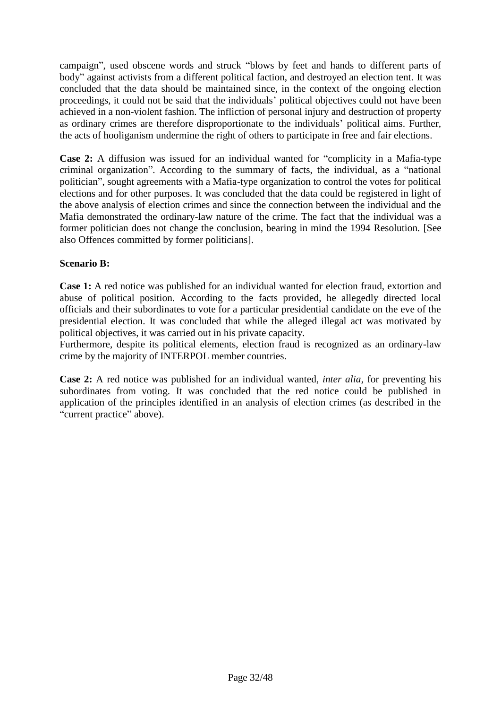campaign", used obscene words and struck "blows by feet and hands to different parts of body" against activists from a different political faction, and destroyed an election tent. It was concluded that the data should be maintained since, in the context of the ongoing election proceedings, it could not be said that the individuals' political objectives could not have been achieved in a non-violent fashion. The infliction of personal injury and destruction of property as ordinary crimes are therefore disproportionate to the individuals' political aims. Further, the acts of hooliganism undermine the right of others to participate in free and fair elections.

**Case 2:** A diffusion was issued for an individual wanted for "complicity in a Mafia-type criminal organization". According to the summary of facts, the individual, as a "national politician", sought agreements with a Mafia-type organization to control the votes for political elections and for other purposes. It was concluded that the data could be registered in light of the above analysis of election crimes and since the connection between the individual and the Mafia demonstrated the ordinary-law nature of the crime. The fact that the individual was a former politician does not change the conclusion, bearing in mind the 1994 Resolution. [See also Offences committed by former politicians].

## **Scenario B:**

**Case 1:** A red notice was published for an individual wanted for election fraud, extortion and abuse of political position. According to the facts provided, he allegedly directed local officials and their subordinates to vote for a particular presidential candidate on the eve of the presidential election. It was concluded that while the alleged illegal act was motivated by political objectives, it was carried out in his private capacity.

Furthermore, despite its political elements, election fraud is recognized as an ordinary-law crime by the majority of INTERPOL member countries.

**Case 2:** A red notice was published for an individual wanted, *inter alia*, for preventing his subordinates from voting. It was concluded that the red notice could be published in application of the principles identified in an analysis of election crimes (as described in the "current practice" above).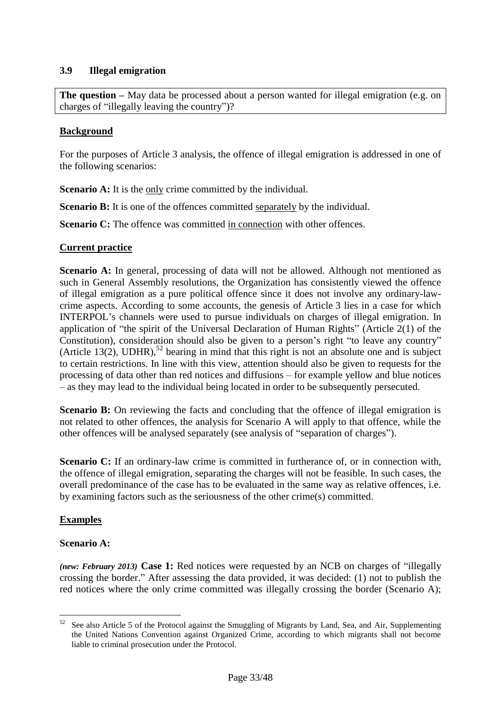## <span id="page-33-0"></span>**3.9 Illegal emigration**

**The question** – May data be processed about a person wanted for illegal emigration (e.g. on charges of "illegally leaving the country")?

#### **Background**

For the purposes of Article 3 analysis, the offence of illegal emigration is addressed in one of the following scenarios:

**Scenario A:** It is the only crime committed by the individual.

**Scenario B:** It is one of the offences committed separately by the individual.

**Scenario C:** The offence was committed in connection with other offences.

#### **Current practice**

**Scenario A:** In general, processing of data will not be allowed. Although not mentioned as such in General Assembly resolutions, the Organization has consistently viewed the offence of illegal emigration as a pure political offence since it does not involve any ordinary-lawcrime aspects. According to some accounts, the genesis of Article 3 lies in a case for which INTERPOL's channels were used to pursue individuals on charges of illegal emigration. In application of "the spirit of the Universal Declaration of Human Rights" (Article 2(1) of the Constitution), consideration should also be given to a person's right "to leave any country" (Article 13(2), UDHR),<sup>52</sup> bearing in mind that this right is not an absolute one and is subject to certain restrictions. In line with this view, attention should also be given to requests for the processing of data other than red notices and diffusions – for example yellow and blue notices – as they may lead to the individual being located in order to be subsequently persecuted.

**Scenario B:** On reviewing the facts and concluding that the offence of illegal emigration is not related to other offences, the analysis for Scenario A will apply to that offence, while the other offences will be analysed separately (see analysis of "separation of charges").

**Scenario C:** If an ordinary-law crime is committed in furtherance of, or in connection with, the offence of illegal emigration, separating the charges will not be feasible. In such cases, the overall predominance of the case has to be evaluated in the same way as relative offences, i.e. by examining factors such as the seriousness of the other crime(s) committed.

## **Examples**

#### **Scenario A:**

*(new: February 2013)* **Case 1:** Red notices were requested by an NCB on charges of "illegally crossing the border." After assessing the data provided, it was decided: (1) not to publish the red notices where the only crime committed was illegally crossing the border (Scenario A);

<sup>52</sup> See also Article 5 of the Protocol against the Smuggling of Migrants by Land, Sea, and Air, Supplementing the United Nations Convention against Organized Crime, according to which migrants shall not become liable to criminal prosecution under the Protocol.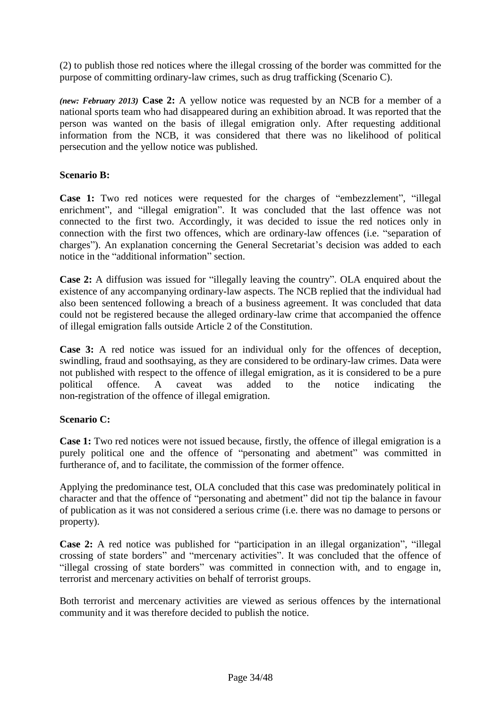(2) to publish those red notices where the illegal crossing of the border was committed for the purpose of committing ordinary-law crimes, such as drug trafficking (Scenario C).

*(new: February 2013)* **Case 2:** A yellow notice was requested by an NCB for a member of a national sports team who had disappeared during an exhibition abroad. It was reported that the person was wanted on the basis of illegal emigration only. After requesting additional information from the NCB, it was considered that there was no likelihood of political persecution and the yellow notice was published.

## **Scenario B:**

**Case 1:** Two red notices were requested for the charges of "embezzlement", "illegal enrichment", and "illegal emigration". It was concluded that the last offence was not connected to the first two. Accordingly, it was decided to issue the red notices only in connection with the first two offences, which are ordinary-law offences (i.e. "separation of charges"). An explanation concerning the General Secretariat's decision was added to each notice in the "additional information" section.

**Case 2:** A diffusion was issued for "illegally leaving the country". OLA enquired about the existence of any accompanying ordinary-law aspects. The NCB replied that the individual had also been sentenced following a breach of a business agreement. It was concluded that data could not be registered because the alleged ordinary-law crime that accompanied the offence of illegal emigration falls outside Article 2 of the Constitution.

**Case 3:** A red notice was issued for an individual only for the offences of deception, swindling, fraud and soothsaying, as they are considered to be ordinary-law crimes. Data were not published with respect to the offence of illegal emigration, as it is considered to be a pure political offence. A caveat was added to the notice indicating the non-registration of the offence of illegal emigration.

## **Scenario C:**

**Case 1:** Two red notices were not issued because, firstly, the offence of illegal emigration is a purely political one and the offence of "personating and abetment" was committed in furtherance of, and to facilitate, the commission of the former offence.

Applying the predominance test, OLA concluded that this case was predominately political in character and that the offence of "personating and abetment" did not tip the balance in favour of publication as it was not considered a serious crime (i.e. there was no damage to persons or property).

**Case 2:** A red notice was published for "participation in an illegal organization", "illegal crossing of state borders" and "mercenary activities". It was concluded that the offence of "illegal crossing of state borders" was committed in connection with, and to engage in, terrorist and mercenary activities on behalf of terrorist groups.

Both terrorist and mercenary activities are viewed as serious offences by the international community and it was therefore decided to publish the notice.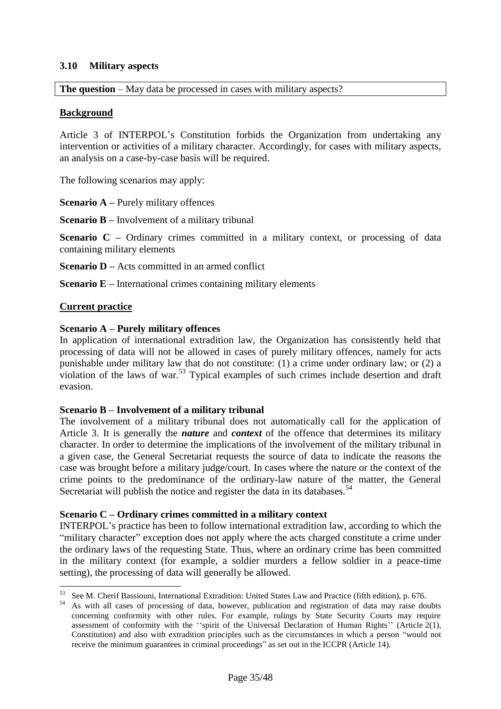#### <span id="page-35-0"></span>**3.10 Military aspects**

**The question** – May data be processed in cases with military aspects?

## **Background**

Article 3 of INTERPOL's Constitution forbids the Organization from undertaking any intervention or activities of a military character. Accordingly, for cases with military aspects, an analysis on a case-by-case basis will be required.

The following scenarios may apply:

**Scenario A** – Purely military offences

**Scenario B –** Involvement of a military tribunal

**Scenario C** – Ordinary crimes committed in a military context, or processing of data containing military elements

**Scenario D** – Acts committed in an armed conflict

**Scenario E** – International crimes containing military elements

#### **Current practice**

 $\overline{a}$ 

#### **Scenario A – Purely military offences**

In application of international extradition law, the Organization has consistently held that processing of data will not be allowed in cases of purely military offences, namely for acts punishable under military law that do not constitute: (1) a crime under ordinary law; or (2) a violation of the laws of war.<sup>53</sup> Typical examples of such crimes include desertion and draft evasion.

#### **Scenario B – Involvement of a military tribunal**

The involvement of a military tribunal does not automatically call for the application of Article 3. It is generally the *nature* and *context* of the offence that determines its military character. In order to determine the implications of the involvement of the military tribunal in a given case, the General Secretariat requests the source of data to indicate the reasons the case was brought before a military judge/court. In cases where the nature or the context of the crime points to the predominance of the ordinary-law nature of the matter, the General Secretariat will publish the notice and register the data in its databases.<sup>54</sup>

#### **Scenario C – Ordinary crimes committed in a military context**

INTERPOL's practice has been to follow international extradition law, according to which the "military character" exception does not apply where the acts charged constitute a crime under the ordinary laws of the requesting State. Thus, where an ordinary crime has been committed in the military context (for example, a soldier murders a fellow soldier in a peace-time setting), the processing of data will generally be allowed.

<sup>&</sup>lt;sup>53</sup> See M. Cherif Bassiouni, International Extradition: United States Law and Practice (fifth edition), p. 676.

<sup>&</sup>lt;sup>54</sup> As with all cases of processing of data, however, publication and registration of data may raise doubts concerning conformity with other rules. For example, rulings by State Security Courts may require assessment of conformity with the ''spirit of the Universal Declaration of Human Rights'' (Article 2(1), Constitution) and also with extradition principles such as the circumstances in which a person "would not receive the minimum guarantees in criminal proceedings" as set out in the ICCPR (Article 14).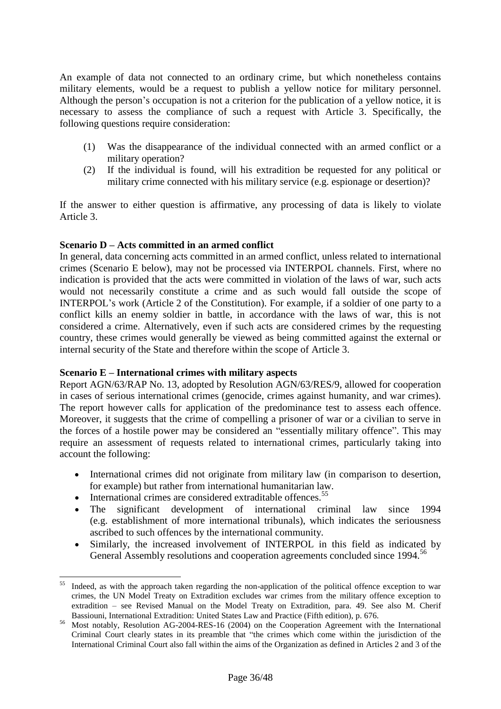An example of data not connected to an ordinary crime, but which nonetheless contains military elements, would be a request to publish a yellow notice for military personnel. Although the person's occupation is not a criterion for the publication of a yellow notice, it is necessary to assess the compliance of such a request with Article 3. Specifically, the following questions require consideration:

- (1) Was the disappearance of the individual connected with an armed conflict or a military operation?
- (2) If the individual is found, will his extradition be requested for any political or military crime connected with his military service (e.g. espionage or desertion)?

If the answer to either question is affirmative, any processing of data is likely to violate Article 3.

#### **Scenario D – Acts committed in an armed conflict**

In general, data concerning acts committed in an armed conflict, unless related to international crimes (Scenario E below), may not be processed via INTERPOL channels. First, where no indication is provided that the acts were committed in violation of the laws of war, such acts would not necessarily constitute a crime and as such would fall outside the scope of INTERPOL's work (Article 2 of the Constitution). For example, if a soldier of one party to a conflict kills an enemy soldier in battle, in accordance with the laws of war, this is not considered a crime. Alternatively, even if such acts are considered crimes by the requesting country, these crimes would generally be viewed as being committed against the external or internal security of the State and therefore within the scope of Article 3.

#### **Scenario E – International crimes with military aspects**

Report AGN/63/RAP No. 13, adopted by Resolution AGN/63/RES/9, allowed for cooperation in cases of serious international crimes (genocide, crimes against humanity, and war crimes). The report however calls for application of the predominance test to assess each offence. Moreover, it suggests that the crime of compelling a prisoner of war or a civilian to serve in the forces of a hostile power may be considered an "essentially military offence". This may require an assessment of requests related to international crimes, particularly taking into account the following:

- International crimes did not originate from military law (in comparison to desertion, for example) but rather from international humanitarian law.
- $\bullet$  International crimes are considered extraditable offences.<sup>55</sup>

 $\overline{a}$ 

- The significant development of international criminal law since 1994 (e.g. establishment of more international tribunals), which indicates the seriousness ascribed to such offences by the international community.
- Similarly, the increased involvement of INTERPOL in this field as indicated by General Assembly resolutions and cooperation agreements concluded since 1994.<sup>56</sup>

Indeed, as with the approach taken regarding the non-application of the political offence exception to war crimes, the UN Model Treaty on Extradition excludes war crimes from the military offence exception to extradition – see Revised Manual on the Model Treaty on Extradition, para. 49. See also M. Cherif Bassiouni, International Extradition: United States Law and Practice (Fifth edition), p. 676.

<sup>&</sup>lt;sup>56</sup> Most notably, Resolution AG-2004-RES-16 (2004) on the Cooperation Agreement with the International Criminal Court clearly states in its preamble that "the crimes which come within the jurisdiction of the International Criminal Court also fall within the aims of the Organization as defined in [Articles 2](http://portal.interpol.int:1967/Public/ICPO/LegalMaterials/constitution/constitutionGenReg/constitution.asp#art2) and [3](http://portal.interpol.int:1967/Public/ICPO/LegalMaterials/constitution/constitutionGenReg/constitution.asp#art3) of the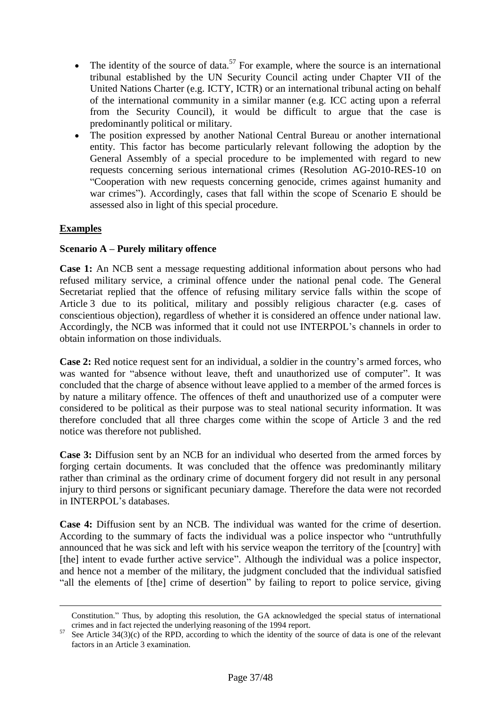- The identity of the source of data.<sup>57</sup> For example, where the source is an international tribunal established by the UN Security Council acting under Chapter VII of the United Nations Charter (e.g. ICTY, ICTR) or an international tribunal acting on behalf of the international community in a similar manner (e.g. ICC acting upon a referral from the Security Council), it would be difficult to argue that the case is predominantly political or military.
- The position expressed by another National Central Bureau or another international entity. This factor has become particularly relevant following the adoption by the General Assembly of a special procedure to be implemented with regard to new requests concerning serious international crimes (Resolution AG-2010-RES-10 on "Cooperation with new requests concerning genocide, crimes against humanity and war crimes"). Accordingly, cases that fall within the scope of Scenario E should be assessed also in light of this special procedure.

## **Examples**

 $\overline{a}$ 

#### **Scenario A – Purely military offence**

**Case 1:** An NCB sent a message requesting additional information about persons who had refused military service, a criminal offence under the national penal code. The General Secretariat replied that the offence of refusing military service falls within the scope of Article 3 due to its political, military and possibly religious character (e.g. cases of [conscientious objecti](http://www.google.fr/search?hl=fr&ei=vKPtSbuzFMahjAfVv8gZ&sa=X&oi=spell&resnum=0&ct=result&cd=1&q=conscious+objecture&spell=1)on), regardless of whether it is considered an offence under national law. Accordingly, the NCB was informed that it could not use INTERPOL's channels in order to obtain information on those individuals.

**Case 2:** Red notice request sent for an individual, a soldier in the country's armed forces, who was wanted for "absence without leave, theft and unauthorized use of computer". It was concluded that the charge of absence without leave applied to a member of the armed forces is by nature a military offence. The offences of theft and unauthorized use of a computer were considered to be political as their purpose was to steal national security information. It was therefore concluded that all three charges come within the scope of Article 3 and the red notice was therefore not published.

**Case 3:** Diffusion sent by an NCB for an individual who deserted from the armed forces by forging certain documents. It was concluded that the offence was predominantly military rather than criminal as the ordinary crime of document forgery did not result in any personal injury to third persons or significant pecuniary damage. Therefore the data were not recorded in INTERPOL's databases.

**Case 4:** Diffusion sent by an NCB. The individual was wanted for the crime of desertion. According to the summary of facts the individual was a police inspector who "untruthfully announced that he was sick and left with his service weapon the territory of the [country] with [the] intent to evade further active service". Although the individual was a police inspector, and hence not a member of the military, the judgment concluded that the individual satisfied "all the elements of [the] crime of desertion" by failing to report to police service, giving

Constitution." Thus, by adopting this resolution, the GA acknowledged the special status of international crimes and in fact rejected the underlying reasoning of the 1994 report.

See Article  $34(3)(c)$  of the RPD, according to which the identity of the source of data is one of the relevant factors in an Article 3 examination.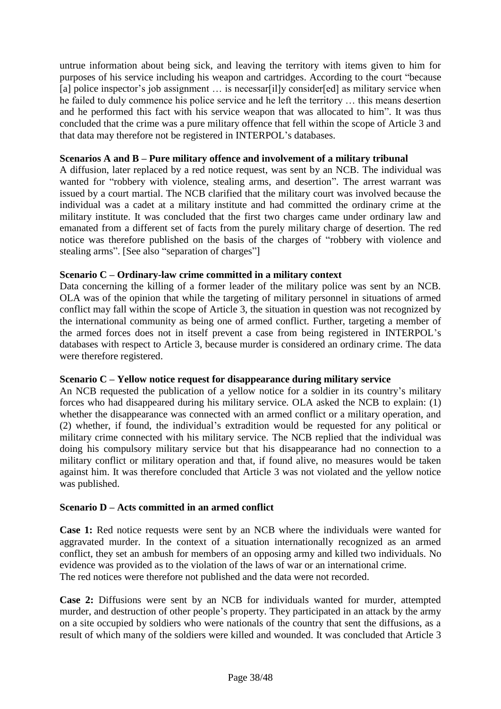untrue information about being sick, and leaving the territory with items given to him for purposes of his service including his weapon and cartridges. According to the court "because [a] police inspector's job assignment ... is necessar[il]y consider[ed] as military service when he failed to duly commence his police service and he left the territory … this means desertion and he performed this fact with his service weapon that was allocated to him". It was thus concluded that the crime was a pure military offence that fell within the scope of Article 3 and that data may therefore not be registered in INTERPOL's databases.

#### **Scenarios A and B – Pure military offence and involvement of a military tribunal**

A diffusion, later replaced by a red notice request, was sent by an NCB. The individual was wanted for "robbery with violence, stealing arms, and desertion". The arrest warrant was issued by a court martial. The NCB clarified that the military court was involved because the individual was a cadet at a military institute and had committed the ordinary crime at the military institute. It was concluded that the first two charges came under ordinary law and emanated from a different set of facts from the purely military charge of desertion. The red notice was therefore published on the basis of the charges of "robbery with violence and stealing arms". [See also "separation of charges"]

#### **Scenario C – Ordinary-law crime committed in a military context**

Data concerning the killing of a former leader of the military police was sent by an NCB. OLA was of the opinion that while the targeting of military personnel in situations of armed conflict may fall within the scope of Article 3, the situation in question was not recognized by the international community as being one of armed conflict. Further, targeting a member of the armed forces does not in itself prevent a case from being registered in INTERPOL's databases with respect to Article 3, because murder is considered an ordinary crime. The data were therefore registered.

#### **Scenario C – Yellow notice request for disappearance during military service**

An NCB requested the publication of a yellow notice for a soldier in its country's military forces who had disappeared during his military service. OLA asked the NCB to explain: (1) whether the disappearance was connected with an armed conflict or a military operation, and (2) whether, if found, the individual's extradition would be requested for any political or military crime connected with his military service. The NCB replied that the individual was doing his compulsory military service but that his disappearance had no connection to a military conflict or military operation and that, if found alive, no measures would be taken against him. It was therefore concluded that Article 3 was not violated and the yellow notice was published.

#### **Scenario D – Acts committed in an armed conflict**

**Case 1:** Red notice requests were sent by an NCB where the individuals were wanted for aggravated murder. In the context of a situation internationally recognized as an armed conflict, they set an ambush for members of an opposing army and killed two individuals. No evidence was provided as to the violation of the laws of war or an international crime. The red notices were therefore not published and the data were not recorded.

**Case 2:** Diffusions were sent by an NCB for individuals wanted for murder, attempted murder, and destruction of other people's property. They participated in an attack by the army on a site occupied by soldiers who were nationals of the country that sent the diffusions, as a result of which many of the soldiers were killed and wounded. It was concluded that Article 3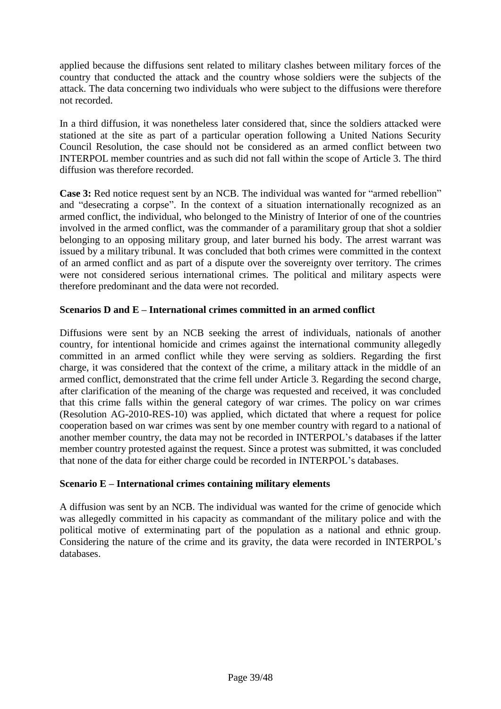applied because the diffusions sent related to military clashes between military forces of the country that conducted the attack and the country whose soldiers were the subjects of the attack. The data concerning two individuals who were subject to the diffusions were therefore not recorded.

In a third diffusion, it was nonetheless later considered that, since the soldiers attacked were stationed at the site as part of a particular operation following a United Nations Security Council Resolution, the case should not be considered as an armed conflict between two INTERPOL member countries and as such did not fall within the scope of Article 3. The third diffusion was therefore recorded.

**Case 3:** Red notice request sent by an NCB. The individual was wanted for "armed rebellion" and "desecrating a corpse". In the context of a situation internationally recognized as an armed conflict, the individual, who belonged to the Ministry of Interior of one of the countries involved in the armed conflict, was the commander of a paramilitary group that shot a soldier belonging to an opposing military group, and later burned his body. The arrest warrant was issued by a military tribunal. It was concluded that both crimes were committed in the context of an armed conflict and as part of a dispute over the sovereignty over territory. The crimes were not considered serious international crimes. The political and military aspects were therefore predominant and the data were not recorded.

## **Scenarios D and E – International crimes committed in an armed conflict**

Diffusions were sent by an NCB seeking the arrest of individuals, nationals of another country, for intentional homicide and crimes against the international community allegedly committed in an armed conflict while they were serving as soldiers. Regarding the first charge, it was considered that the context of the crime, a military attack in the middle of an armed conflict, demonstrated that the crime fell under Article 3. Regarding the second charge, after clarification of the meaning of the charge was requested and received, it was concluded that this crime falls within the general category of war crimes. The policy on war crimes (Resolution AG-2010-RES-10) was applied, which dictated that where a request for police cooperation based on war crimes was sent by one member country with regard to a national of another member country, the data may not be recorded in INTERPOL's databases if the latter member country protested against the request. Since a protest was submitted, it was concluded that none of the data for either charge could be recorded in INTERPOL's databases.

#### **Scenario E – International crimes containing military elements**

A diffusion was sent by an NCB. The individual was wanted for the crime of genocide which was allegedly committed in his capacity as commandant of the military police and with the political motive of exterminating part of the population as a national and ethnic group. Considering the nature of the crime and its gravity, the data were recorded in INTERPOL's databases.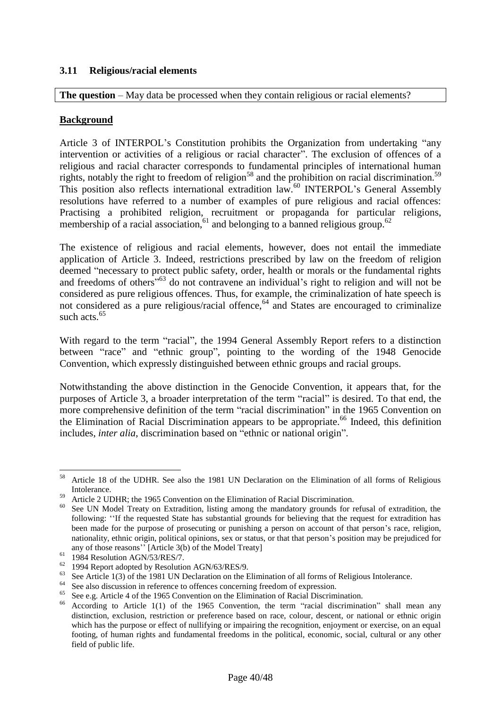## <span id="page-40-0"></span>**3.11 Religious/racial elements**

**The question** – May data be processed when they contain religious or racial elements?

#### **Background**

Article 3 of INTERPOL's Constitution prohibits the Organization from undertaking "any intervention or activities of a religious or racial character". The exclusion of offences of a religious and racial character corresponds to fundamental principles of international human rights, notably the right to freedom of religion<sup>58</sup> and the prohibition on racial discrimination.<sup>59</sup> This position also reflects international extradition law.<sup>60</sup> INTERPOL's General Assembly resolutions have referred to a number of examples of pure religious and racial offences: Practising a prohibited religion, recruitment or propaganda for particular religions, membership of a racial association,  $61$  and belonging to a banned religious group.<sup>62</sup>

The existence of religious and racial elements, however, does not entail the immediate application of Article 3. Indeed, restrictions prescribed by law on the freedom of religion deemed "necessary to protect public safety, order, health or morals or the fundamental rights and freedoms of others<sup>"63</sup> do not contravene an individual's right to religion and will not be considered as pure religious offences. Thus, for example, the criminalization of hate speech is not considered as a pure religious/racial offence, $64$  and States are encouraged to criminalize such acts.<sup>65</sup>

With regard to the term "racial", the 1994 General Assembly Report refers to a distinction between "race" and "ethnic group", pointing to the wording of the 1948 Genocide Convention, which expressly distinguished between ethnic groups and racial groups.

Notwithstanding the above distinction in the Genocide Convention, it appears that, for the purposes of Article 3, a broader interpretation of the term "racial" is desired. To that end, the more comprehensive definition of the term "racial discrimination" in the 1965 Convention on the Elimination of Racial Discrimination appears to be appropriate.<sup>66</sup> Indeed, this definition includes, *inter alia*, discrimination based on "ethnic or national origin".

<sup>58</sup> <sup>58</sup> Article 18 of the UDHR. See also the 1981 UN Declaration on the Elimination of all forms of Religious Intolerance.

<sup>59</sup> Article 2 UDHR; the 1965 Convention on the Elimination of Racial Discrimination.

<sup>&</sup>lt;sup>60</sup> See UN Model Treaty on Extradition, listing among the mandatory grounds for refusal of extradition, the following: ''If the requested State has substantial grounds for believing that the request for extradition has been made for the purpose of prosecuting or punishing a person on account of that person's race, religion, nationality, ethnic origin, political opinions, sex or status, or that that person's position may be prejudiced for any of those reasons'' [Article 3(b) of the Model Treaty]

 $61$  1984 Resolution AGN/53/RES/7.

<sup>62</sup> 1994 Report adopted by Resolution AGN/63/RES/9.

<sup>&</sup>lt;sup>63</sup> See Article 1(3) of the 1981 UN Declaration on the Elimination of all forms of Religious Intolerance.

<sup>&</sup>lt;sup>64</sup> See also discussion in reference to offences concerning freedom of expression.

<sup>&</sup>lt;sup>65</sup> See e.g. Article 4 of the 1965 Convention on the Elimination of Racial Discrimination.<br><sup>66</sup> According to Article 1(1) of the 1965 Convention, the term "racial discrimination.

<sup>66</sup> According to Article 1(1) of the 1965 Convention, the term "racial discrimination" shall mean any distinction, exclusion, restriction or preference based on race, colour, descent, or national or ethnic origin which has the purpose or effect of nullifying or impairing the recognition, enjoyment or exercise, on an equal footing, of human rights and fundamental freedoms in the political, economic, social, cultural or any other field of public life.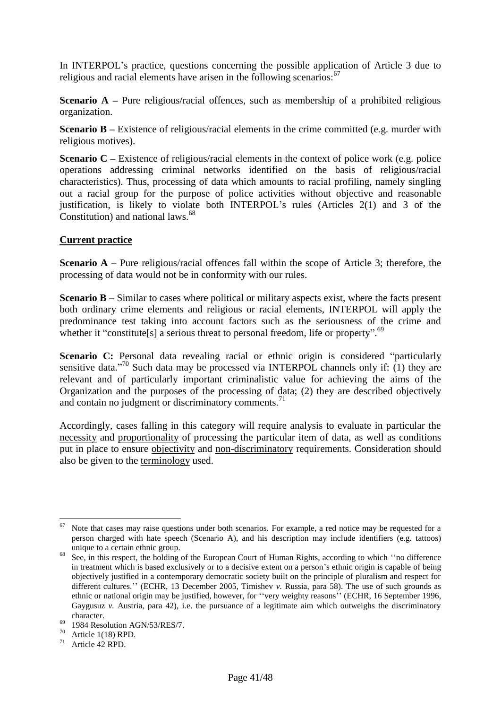In INTERPOL's practice, questions concerning the possible application of Article 3 due to religious and racial elements have arisen in the following scenarios: $67$ 

**Scenario A** – Pure religious/racial offences, such as membership of a prohibited religious organization.

**Scenario B** – Existence of religious/racial elements in the crime committed (e.g. murder with religious motives).

**Scenario C** – Existence of religious/racial elements in the context of police work (e.g. police operations addressing criminal networks identified on the basis of religious/racial characteristics). Thus, processing of data which amounts to racial profiling, namely singling out a racial group for the purpose of police activities without objective and reasonable justification, is likely to violate both INTERPOL's rules (Articles 2(1) and 3 of the Constitution) and national laws.<sup>68</sup>

#### **Current practice**

**Scenario A** – Pure religious/racial offences fall within the scope of Article 3; therefore, the processing of data would not be in conformity with our rules.

**Scenario B** – Similar to cases where political or military aspects exist, where the facts present both ordinary crime elements and religious or racial elements, INTERPOL will apply the predominance test taking into account factors such as the seriousness of the crime and whether it "constitute[s] a serious threat to personal freedom, life or property".<sup>69</sup>

**Scenario C:** Personal data revealing racial or ethnic origin is considered "particularly sensitive data."<sup>70</sup> Such data may be processed via INTERPOL channels only if: (1) they are relevant and of particularly important criminalistic value for achieving the aims of the Organization and the purposes of the processing of data; (2) they are described objectively and contain no judgment or discriminatory comments. $<sup>71</sup>$ </sup>

Accordingly, cases falling in this category will require analysis to evaluate in particular the necessity and proportionality of processing the particular item of data, as well as conditions put in place to ensure objectivity and non-discriminatory requirements. Consideration should also be given to the terminology used.

 $\overline{a}$ Note that cases may raise questions under both scenarios. For example, a red notice may be requested for a person charged with hate speech (Scenario A), and his description may include identifiers (e.g. tattoos) unique to a certain ethnic group.

<sup>&</sup>lt;sup>68</sup> See, in this respect, the holding of the European Court of Human Rights, according to which "no difference" in treatment which is based exclusively or to a decisive extent on a person's ethnic origin is capable of being objectively justified in a contemporary democratic society built on the principle of pluralism and respect for different cultures.'' (ECHR, 13 December 2005, Timishev *v.* Russia, para 58). The use of such grounds as ethnic or national origin may be justified, however, for ''very weighty reasons'' (ECHR, 16 September 1996, Gaygusuz *v.* Austria, para 42), i.e. the pursuance of a legitimate aim which outweighs the discriminatory character.

 $69$  1984 Resolution AGN/53/RES/7.

 $70$  Article 1(18) RPD.

<sup>71</sup> Article 42 RPD.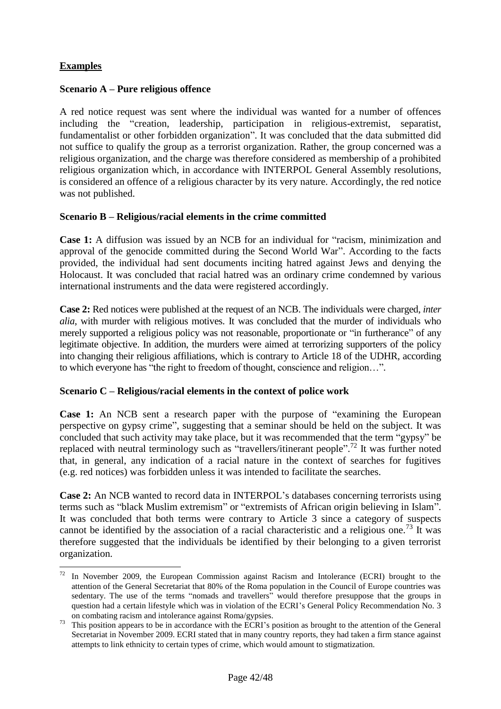## **Examples**

 $\overline{a}$ 

## **Scenario A – Pure religious offence**

A red notice request was sent where the individual was wanted for a number of offences including the "creation, leadership, participation in religious-extremist, separatist, fundamentalist or other forbidden organization". It was concluded that the data submitted did not suffice to qualify the group as a terrorist organization. Rather, the group concerned was a religious organization, and the charge was therefore considered as membership of a prohibited religious organization which, in accordance with INTERPOL General Assembly resolutions, is considered an offence of a religious character by its very nature. Accordingly, the red notice was not published.

#### **Scenario B – Religious/racial elements in the crime committed**

**Case 1:** A diffusion was issued by an NCB for an individual for "racism, minimization and approval of the genocide committed during the Second World War". According to the facts provided, the individual had sent documents inciting hatred against Jews and denying the Holocaust. It was concluded that racial hatred was an ordinary crime condemned by various international instruments and the data were registered accordingly.

**Case 2:** Red notices were published at the request of an NCB. The individuals were charged, *inter alia*, with murder with religious motives. It was concluded that the murder of individuals who merely supported a religious policy was not reasonable, proportionate or "in furtherance" of any legitimate objective. In addition, the murders were aimed at terrorizing supporters of the policy into changing their religious affiliations, which is contrary to Article 18 of the UDHR, according to which everyone has "the right to freedom of thought, conscience and religion…".

#### **Scenario C – Religious/racial elements in the context of police work**

**Case 1:** An NCB sent a research paper with the purpose of "examining the European perspective on gypsy crime", suggesting that a seminar should be held on the subject. It was concluded that such activity may take place, but it was recommended that the term "gypsy" be replaced with neutral terminology such as "travellers/itinerant people".<sup>72</sup> It was further noted that, in general, any indication of a racial nature in the context of searches for fugitives (e.g. red notices) was forbidden unless it was intended to facilitate the searches.

**Case 2:** An NCB wanted to record data in INTERPOL's databases concerning terrorists using terms such as "black Muslim extremism" or "extremists of African origin believing in Islam". It was concluded that both terms were contrary to Article 3 since a category of suspects cannot be identified by the association of a racial characteristic and a religious one.<sup>73</sup> It was therefore suggested that the individuals be identified by their belonging to a given terrorist organization.

In November 2009, the European Commission against Racism and Intolerance (ECRI) brought to the attention of the General Secretariat that 80% of the Roma population in the Council of Europe countries was sedentary. The use of the terms "nomads and travellers" would therefore presuppose that the groups in question had a certain lifestyle which was in violation of the ECRI's General Policy Recommendation No. 3 on combating racism and intolerance against Roma/gypsies.

This position appears to be in accordance with the ECRI's position as brought to the attention of the General Secretariat in November 2009. ECRI stated that in many country reports, they had taken a firm stance against attempts to link ethnicity to certain types of crime, which would amount to stigmatization.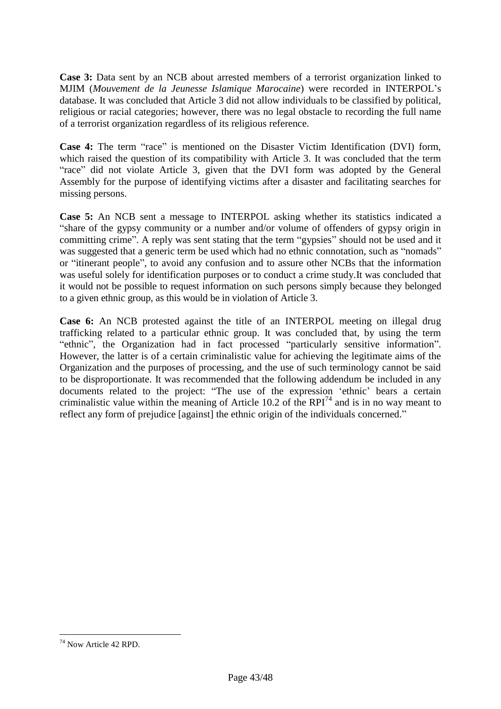**Case 3:** Data sent by an NCB about arrested members of a terrorist organization linked to MJIM (*Mouvement de la Jeunesse Islamique Marocaine*) were recorded in INTERPOL's database. It was concluded that Article 3 did not allow individuals to be classified by political, religious or racial categories; however, there was no legal obstacle to recording the full name of a terrorist organization regardless of its religious reference.

**Case 4:** The term "race" is mentioned on the Disaster Victim Identification (DVI) form, which raised the question of its compatibility with Article 3. It was concluded that the term "race" did not violate Article 3, given that the DVI form was adopted by the General Assembly for the purpose of identifying victims after a disaster and facilitating searches for missing persons.

**Case 5:** An NCB sent a message to INTERPOL asking whether its statistics indicated a "share of the gypsy community or a number and/or volume of offenders of gypsy origin in committing crime". A reply was sent stating that the term "gypsies" should not be used and it was suggested that a generic term be used which had no ethnic connotation, such as "nomads" or "itinerant people", to avoid any confusion and to assure other NCBs that the information was useful solely for identification purposes or to conduct a crime study.It was concluded that it would not be possible to request information on such persons simply because they belonged to a given ethnic group, as this would be in violation of Article 3.

**Case 6:** An NCB protested against the title of an INTERPOL meeting on illegal drug trafficking related to a particular ethnic group. It was concluded that, by using the term "ethnic", the Organization had in fact processed "particularly sensitive information". However, the latter is of a certain criminalistic value for achieving the legitimate aims of the Organization and the purposes of processing, and the use of such terminology cannot be said to be disproportionate. It was recommended that the following addendum be included in any documents related to the project: "The use of the expression 'ethnic' bears a certain criminalistic value within the meaning of Article 10.2 of the RPI<sup>74</sup> and is in no way meant to reflect any form of prejudice [against] the ethnic origin of the individuals concerned."

 $\overline{a}$ 

<sup>&</sup>lt;sup>74</sup> Now Article 42 RPD.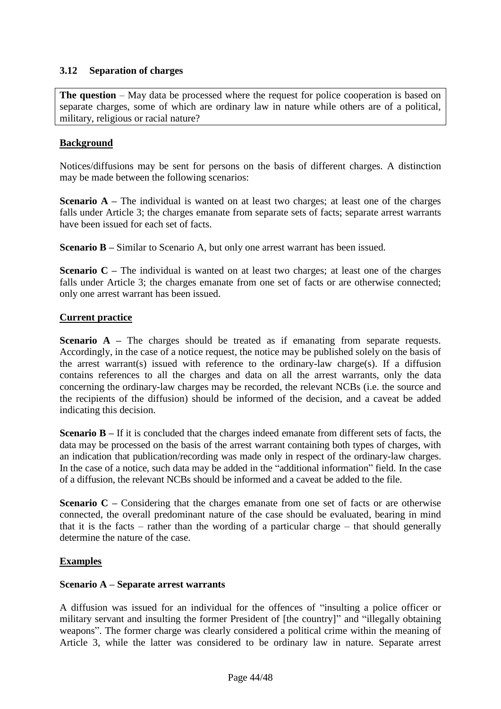## <span id="page-44-0"></span>**3.12 Separation of charges**

**The question** – May data be processed where the request for police cooperation is based on separate charges, some of which are ordinary law in nature while others are of a political, military, religious or racial nature?

#### **Background**

Notices/diffusions may be sent for persons on the basis of different charges. A distinction may be made between the following scenarios:

**Scenario A** – The individual is wanted on at least two charges; at least one of the charges falls under Article 3; the charges emanate from separate sets of facts; separate arrest warrants have been issued for each set of facts.

**Scenario B** – Similar to Scenario A, but only one arrest warrant has been issued.

**Scenario C** – The individual is wanted on at least two charges; at least one of the charges falls under Article 3; the charges emanate from one set of facts or are otherwise connected; only one arrest warrant has been issued.

#### **Current practice**

**Scenario A** – The charges should be treated as if emanating from separate requests. Accordingly, in the case of a notice request, the notice may be published solely on the basis of the arrest warrant(s) issued with reference to the ordinary-law charge(s). If a diffusion contains references to all the charges and data on all the arrest warrants, only the data concerning the ordinary-law charges may be recorded, the relevant NCBs (i.e. the source and the recipients of the diffusion) should be informed of the decision, and a caveat be added indicating this decision.

**Scenario B** – If it is concluded that the charges indeed emanate from different sets of facts, the data may be processed on the basis of the arrest warrant containing both types of charges, with an indication that publication/recording was made only in respect of the ordinary-law charges. In the case of a notice, such data may be added in the "additional information" field. In the case of a diffusion, the relevant NCBs should be informed and a caveat be added to the file.

**Scenario C –** Considering that the charges emanate from one set of facts or are otherwise connected, the overall predominant nature of the case should be evaluated, bearing in mind that it is the facts – rather than the wording of a particular charge – that should generally determine the nature of the case.

#### **Examples**

#### **Scenario A – Separate arrest warrants**

A diffusion was issued for an individual for the offences of "insulting a police officer or military servant and insulting the former President of [the country]" and "illegally obtaining weapons". The former charge was clearly considered a political crime within the meaning of Article 3, while the latter was considered to be ordinary law in nature. Separate arrest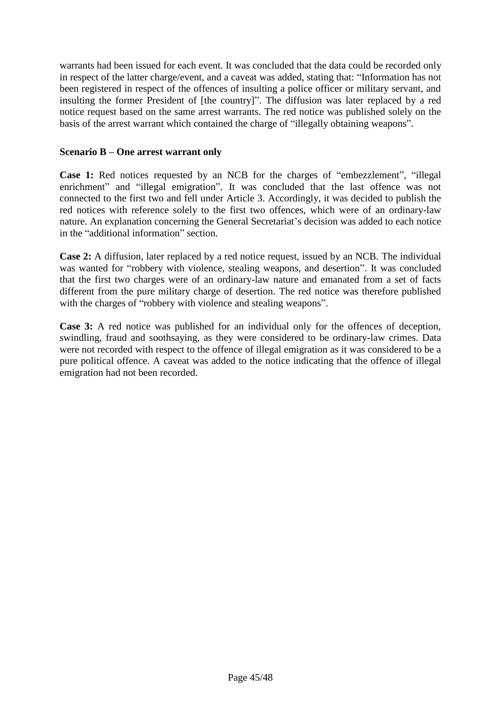warrants had been issued for each event. It was concluded that the data could be recorded only in respect of the latter charge/event, and a caveat was added, stating that: "Information has not been registered in respect of the offences of insulting a police officer or military servant, and insulting the former President of [the country]". The diffusion was later replaced by a red notice request based on the same arrest warrants. The red notice was published solely on the basis of the arrest warrant which contained the charge of "illegally obtaining weapons".

#### **Scenario B – One arrest warrant only**

**Case 1:** Red notices requested by an NCB for the charges of "embezzlement", "illegal enrichment" and "illegal emigration". It was concluded that the last offence was not connected to the first two and fell under Article 3. Accordingly, it was decided to publish the red notices with reference solely to the first two offences, which were of an ordinary-law nature. An explanation concerning the General Secretariat's decision was added to each notice in the "additional information" section.

**Case 2:** A diffusion, later replaced by a red notice request, issued by an NCB. The individual was wanted for "robbery with violence, stealing weapons, and desertion". It was concluded that the first two charges were of an ordinary-law nature and emanated from a set of facts different from the pure military charge of desertion. The red notice was therefore published with the charges of "robbery with violence and stealing weapons".

**Case 3:** A red notice was published for an individual only for the offences of deception, swindling, fraud and soothsaying, as they were considered to be ordinary-law crimes. Data were not recorded with respect to the offence of illegal emigration as it was considered to be a pure political offence. A caveat was added to the notice indicating that the offence of illegal emigration had not been recorded.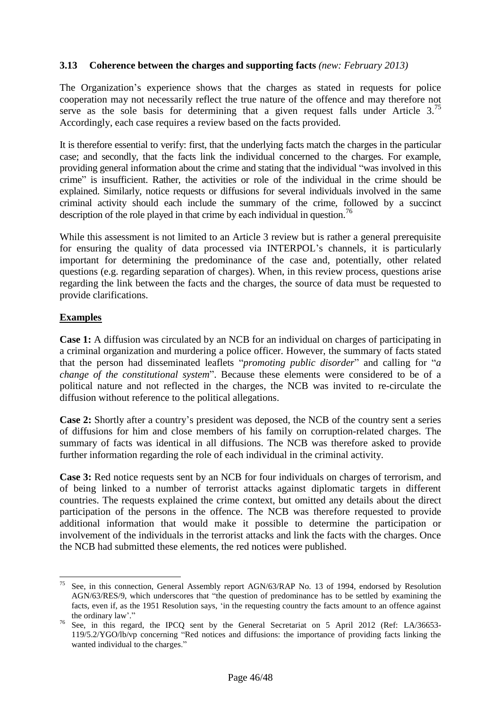## <span id="page-46-0"></span>**3.13 Coherence between the charges and supporting facts** *(new: February 2013)*

The Organization's experience shows that the charges as stated in requests for police cooperation may not necessarily reflect the true nature of the offence and may therefore not serve as the sole basis for determining that a given request falls under Article  $3^{3}$ . Accordingly, each case requires a review based on the facts provided.

It is therefore essential to verify: first, that the underlying facts match the charges in the particular case; and secondly, that the facts link the individual concerned to the charges. For example, providing general information about the crime and stating that the individual "was involved in this crime" is insufficient. Rather, the activities or role of the individual in the crime should be explained. Similarly, notice requests or diffusions for several individuals involved in the same criminal activity should each include the summary of the crime, followed by a succinct description of the role played in that crime by each individual in question.<sup>76</sup>

While this assessment is not limited to an Article 3 review but is rather a general prerequisite for ensuring the quality of data processed via INTERPOL's channels, it is particularly important for determining the predominance of the case and, potentially, other related questions (e.g. regarding separation of charges). When, in this review process, questions arise regarding the link between the facts and the charges, the source of data must be requested to provide clarifications.

## **Examples**

**Case 1:** A diffusion was circulated by an NCB for an individual on charges of participating in a criminal organization and murdering a police officer. However, the summary of facts stated that the person had disseminated leaflets "*promoting public disorder*" and calling for "*a change of the constitutional system*". Because these elements were considered to be of a political nature and not reflected in the charges, the NCB was invited to re-circulate the diffusion without reference to the political allegations.

**Case 2:** Shortly after a country's president was deposed, the NCB of the country sent a series of diffusions for him and close members of his family on corruption-related charges. The summary of facts was identical in all diffusions. The NCB was therefore asked to provide further information regarding the role of each individual in the criminal activity.

**Case 3:** Red notice requests sent by an NCB for four individuals on charges of terrorism, and of being linked to a number of terrorist attacks against diplomatic targets in different countries. The requests explained the crime context, but omitted any details about the direct participation of the persons in the offence. The NCB was therefore requested to provide additional information that would make it possible to determine the participation or involvement of the individuals in the terrorist attacks and link the facts with the charges. Once the NCB had submitted these elements, the red notices were published.

<sup>75</sup> <sup>75</sup> See, in this connection, General Assembly report AGN/63/RAP No. 13 of 1994, endorsed by Resolution AGN/63/RES/9, which underscores that "the question of predominance has to be settled by examining the facts, even if, as the 1951 Resolution says, 'in the requesting country the facts amount to an offence against the ordinary law'."

<sup>&</sup>lt;sup>76</sup> See, in this regard, the IPCQ sent by the General Secretariat on 5 April 2012 (Ref: LA/36653-119/5.2/YGO/lb/vp concerning "Red notices and diffusions: the importance of providing facts linking the wanted individual to the charges."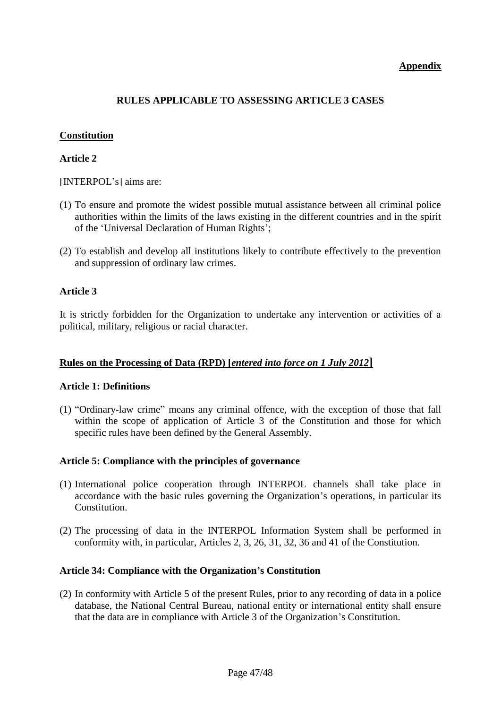## **Appendix**

## **RULES APPLICABLE TO ASSESSING ARTICLE 3 CASES**

## **Constitution**

## **Article 2**

[INTERPOL's] aims are:

- (1) To ensure and promote the widest possible mutual assistance between all criminal police authorities within the limits of the laws existing in the different countries and in the spirit of the 'Universal Declaration of Human Rights';
- (2) To establish and develop all institutions likely to contribute effectively to the prevention and suppression of ordinary law crimes.

#### **Article 3**

It is strictly forbidden for the Organization to undertake any intervention or activities of a political, military, religious or racial character.

## **Rules on the Processing of Data (RPD) [***entered into force on 1 July 2012***]**

#### **Article 1: Definitions**

(1) "Ordinary-law crime" means any criminal offence, with the exception of those that fall within the scope of application of Article 3 of the Constitution and those for which specific rules have been defined by the General Assembly.

#### **Article 5: Compliance with the principles of governance**

- (1) International police cooperation through INTERPOL channels shall take place in accordance with the basic rules governing the Organization's operations, in particular its Constitution.
- (2) The processing of data in the INTERPOL Information System shall be performed in conformity with, in particular, Articles 2, 3, 26, 31, 32, 36 and 41 of the Constitution.

#### **Article 34: Compliance with the Organization's Constitution**

(2) In conformity with Article 5 of the present Rules, prior to any recording of data in a police database, the National Central Bureau, national entity or international entity shall ensure that the data are in compliance with Article 3 of the Organization's Constitution.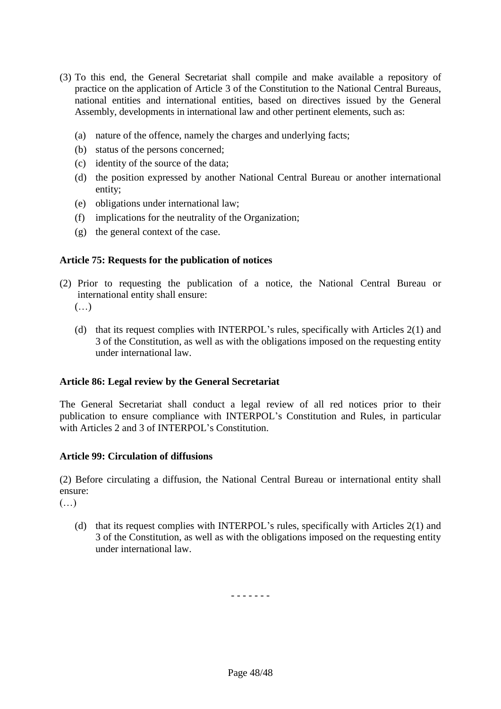- (3) To this end, the General Secretariat shall compile and make available a repository of practice on the application of Article 3 of the Constitution to the National Central Bureaus, national entities and international entities, based on directives issued by the General Assembly, developments in international law and other pertinent elements, such as:
	- (a) nature of the offence, namely the charges and underlying facts;
	- (b) status of the persons concerned;
	- (c) identity of the source of the data;
	- (d) the position expressed by another National Central Bureau or another international entity;
	- (e) obligations under international law;
	- (f) implications for the neutrality of the Organization;
	- (g) the general context of the case.

## **Article 75: Requests for the publication of notices**

- (2) Prior to requesting the publication of a notice, the National Central Bureau or international entity shall ensure:
	- $(\ldots)$
	- (d) that its request complies with INTERPOL's rules, specifically with Articles 2(1) and 3 of the Constitution, as well as with the obligations imposed on the requesting entity under international law.

## **Article 86: Legal review by the General Secretariat**

The General Secretariat shall conduct a legal review of all red notices prior to their publication to ensure compliance with INTERPOL's Constitution and Rules, in particular with Articles 2 and 3 of INTERPOL's Constitution.

## **Article 99: Circulation of diffusions**

(2) Before circulating a diffusion, the National Central Bureau or international entity shall ensure:

 $(\ldots)$ 

(d) that its request complies with INTERPOL's rules, specifically with Articles 2(1) and 3 of the Constitution, as well as with the obligations imposed on the requesting entity under international law.

- - - - - - -